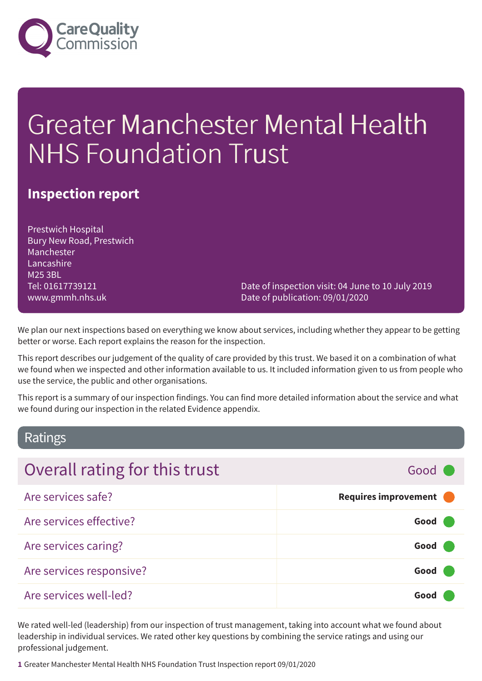

# Greater Manchester Mental Health NHS Foundation Trust

### **Inspection report**

Prestwich Hospital Bury New Road, Prestwich Manchester Lancashire M25 3BL Tel: 01617739121 www.gmmh.nhs.uk

Date of inspection visit: 04 June to 10 July 2019 Date of publication: 09/01/2020

We plan our next inspections based on everything we know about services, including whether they appear to be getting better or worse. Each report explains the reason for the inspection.

This report describes our judgement of the quality of care provided by this trust. We based it on a combination of what we found when we inspected and other information available to us. It included information given to us from people who use the service, the public and other organisations.

This report is a summary of our inspection findings. You can find more detailed information about the service and what we found during our inspection in the related Evidence appendix.

### Ratings

| Overall rating for this trust | Good C                 |
|-------------------------------|------------------------|
| Are services safe?            | Requires improvement ( |
| Are services effective?       | Good                   |
| Are services caring?          | Good (                 |
| Are services responsive?      | Good (                 |
| Are services well-led?        | Good                   |

We rated well-led (leadership) from our inspection of trust management, taking into account what we found about leadership in individual services. We rated other key questions by combining the service ratings and using our professional judgement.

**1** Greater Manchester Mental Health NHS Foundation Trust Inspection report 09/01/2020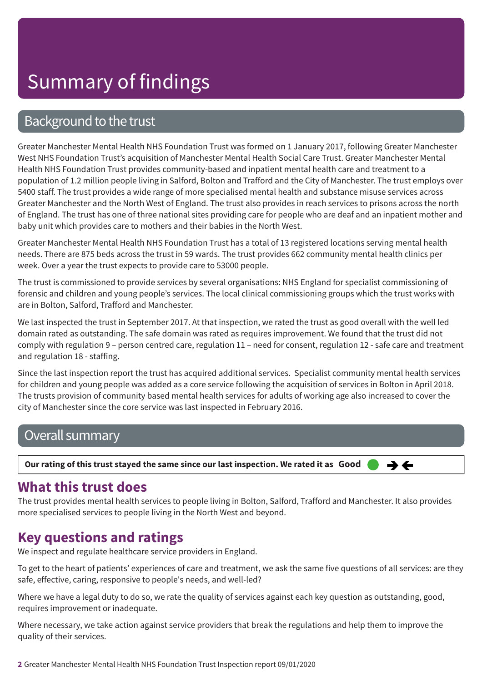## Background to the trust

Greater Manchester Mental Health NHS Foundation Trust was formed on 1 January 2017, following Greater Manchester West NHS Foundation Trust's acquisition of Manchester Mental Health Social Care Trust. Greater Manchester Mental Health NHS Foundation Trust provides community-based and inpatient mental health care and treatment to a population of 1.2 million people living in Salford, Bolton and Trafford and the City of Manchester. The trust employs over 5400 staff. The trust provides a wide range of more specialised mental health and substance misuse services across Greater Manchester and the North West of England. The trust also provides in reach services to prisons across the north of England. The trust has one of three national sites providing care for people who are deaf and an inpatient mother and baby unit which provides care to mothers and their babies in the North West.

Greater Manchester Mental Health NHS Foundation Trust has a total of 13 registered locations serving mental health needs. There are 875 beds across the trust in 59 wards. The trust provides 662 community mental health clinics per week. Over a year the trust expects to provide care to 53000 people.

The trust is commissioned to provide services by several organisations: NHS England for specialist commissioning of forensic and children and young people's services. The local clinical commissioning groups which the trust works with are in Bolton, Salford, Trafford and Manchester.

We last inspected the trust in September 2017. At that inspection, we rated the trust as good overall with the well led domain rated as outstanding. The safe domain was rated as requires improvement. We found that the trust did not comply with regulation 9 – person centred care, regulation 11 – need for consent, regulation 12 - safe care and treatment and regulation 18 - staffing.

Since the last inspection report the trust has acquired additional services. Specialist community mental health services for children and young people was added as a core service following the acquisition of services in Bolton in April 2018. The trusts provision of community based mental health services for adults of working age also increased to cover the city of Manchester since the core service was last inspected in February 2016.

## Overall summary

Our rating of this trust stayed the same since our last inspection. We rated it as Good

## **What this trust does**

The trust provides mental health services to people living in Bolton, Salford, Trafford and Manchester. It also provides more specialised services to people living in the North West and beyond.

→←

## **Key questions and ratings**

We inspect and regulate healthcare service providers in England.

To get to the heart of patients' experiences of care and treatment, we ask the same five questions of all services: are they safe, effective, caring, responsive to people's needs, and well-led?

Where we have a legal duty to do so, we rate the quality of services against each key question as outstanding, good, requires improvement or inadequate.

Where necessary, we take action against service providers that break the regulations and help them to improve the quality of their services.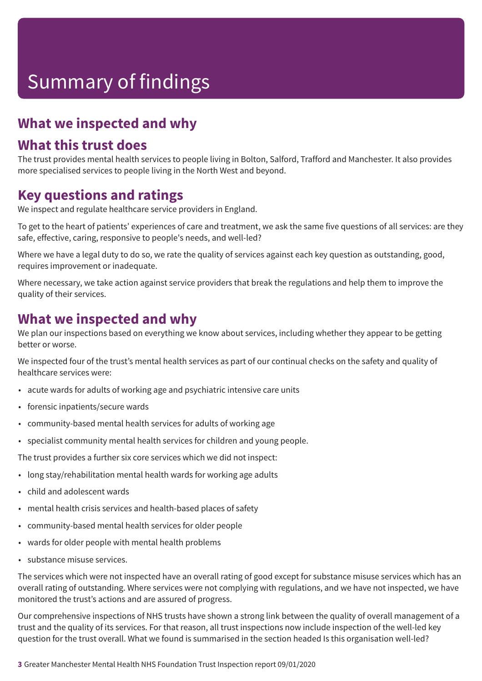## **What we inspected and why**

### **What this trust does**

The trust provides mental health services to people living in Bolton, Salford, Trafford and Manchester. It also provides more specialised services to people living in the North West and beyond.

### **Key questions and ratings**

We inspect and regulate healthcare service providers in England.

To get to the heart of patients' experiences of care and treatment, we ask the same five questions of all services: are they safe, effective, caring, responsive to people's needs, and well-led?

Where we have a legal duty to do so, we rate the quality of services against each key question as outstanding, good, requires improvement or inadequate.

Where necessary, we take action against service providers that break the regulations and help them to improve the quality of their services.

### **What we inspected and why**

We plan our inspections based on everything we know about services, including whether they appear to be getting better or worse.

We inspected four of the trust's mental health services as part of our continual checks on the safety and quality of healthcare services were:

- acute wards for adults of working age and psychiatric intensive care units
- forensic inpatients/secure wards
- community-based mental health services for adults of working age
- specialist community mental health services for children and young people.

The trust provides a further six core services which we did not inspect:

- long stay/rehabilitation mental health wards for working age adults
- child and adolescent wards
- mental health crisis services and health-based places of safety
- community-based mental health services for older people
- wards for older people with mental health problems
- substance misuse services.

The services which were not inspected have an overall rating of good except for substance misuse services which has an overall rating of outstanding. Where services were not complying with regulations, and we have not inspected, we have monitored the trust's actions and are assured of progress.

Our comprehensive inspections of NHS trusts have shown a strong link between the quality of overall management of a trust and the quality of its services. For that reason, all trust inspections now include inspection of the well-led key question for the trust overall. What we found is summarised in the section headed Is this organisation well-led?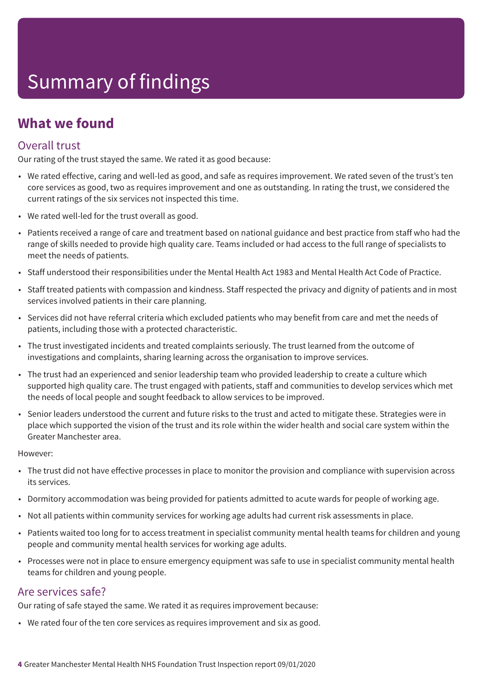## **What we found**

### Overall trust

Our rating of the trust stayed the same. We rated it as good because:

- We rated effective, caring and well-led as good, and safe as requires improvement. We rated seven of the trust's ten core services as good, two as requires improvement and one as outstanding. In rating the trust, we considered the current ratings of the six services not inspected this time.
- We rated well-led for the trust overall as good.
- Patients received a range of care and treatment based on national guidance and best practice from staff who had the range of skills needed to provide high quality care. Teams included or had access to the full range of specialists to meet the needs of patients.
- Staff understood their responsibilities under the Mental Health Act 1983 and Mental Health Act Code of Practice.
- Staff treated patients with compassion and kindness. Staff respected the privacy and dignity of patients and in most services involved patients in their care planning.
- Services did not have referral criteria which excluded patients who may benefit from care and met the needs of patients, including those with a protected characteristic.
- The trust investigated incidents and treated complaints seriously. The trust learned from the outcome of investigations and complaints, sharing learning across the organisation to improve services.
- The trust had an experienced and senior leadership team who provided leadership to create a culture which supported high quality care. The trust engaged with patients, staff and communities to develop services which met the needs of local people and sought feedback to allow services to be improved.
- Senior leaders understood the current and future risks to the trust and acted to mitigate these. Strategies were in place which supported the vision of the trust and its role within the wider health and social care system within the Greater Manchester area.

However:

- The trust did not have effective processes in place to monitor the provision and compliance with supervision across its services.
- Dormitory accommodation was being provided for patients admitted to acute wards for people of working age.
- Not all patients within community services for working age adults had current risk assessments in place.
- Patients waited too long for to access treatment in specialist community mental health teams for children and young people and community mental health services for working age adults.
- Processes were not in place to ensure emergency equipment was safe to use in specialist community mental health teams for children and young people.

### Are services safe?

Our rating of safe stayed the same. We rated it as requires improvement because:

• We rated four of the ten core services as requires improvement and six as good.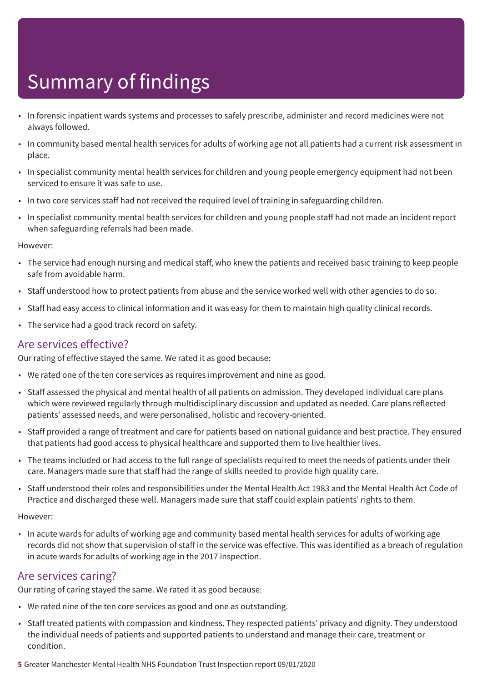- In forensic inpatient wards systems and processes to safely prescribe, administer and record medicines were not always followed.
- In community based mental health services for adults of working age not all patients had a current risk assessment in place.
- In specialist community mental health services for children and young people emergency equipment had not been serviced to ensure it was safe to use.
- In two core services staff had not received the required level of training in safeguarding children.
- In specialist community mental health services for children and young people staff had not made an incident report when safeguarding referrals had been made.

However:

- The service had enough nursing and medical staff, who knew the patients and received basic training to keep people safe from avoidable harm.
- Staff understood how to protect patients from abuse and the service worked well with other agencies to do so.
- Staff had easy access to clinical information and it was easy for them to maintain high quality clinical records.
- The service had a good track record on safety.

### Are services effective?

Our rating of effective stayed the same. We rated it as good because:

- We rated one of the ten core services as requires improvement and nine as good.
- Staff assessed the physical and mental health of all patients on admission. They developed individual care plans which were reviewed regularly through multidisciplinary discussion and updated as needed. Care plans reflected patients' assessed needs, and were personalised, holistic and recovery-oriented.
- Staff provided a range of treatment and care for patients based on national guidance and best practice. They ensured that patients had good access to physical healthcare and supported them to live healthier lives.
- The teams included or had access to the full range of specialists required to meet the needs of patients under their care. Managers made sure that staff had the range of skills needed to provide high quality care.
- Staff understood their roles and responsibilities under the Mental Health Act 1983 and the Mental Health Act Code of Practice and discharged these well. Managers made sure that staff could explain patients' rights to them.

However:

• In acute wards for adults of working age and community based mental health services for adults of working age records did not show that supervision of staff in the service was effective. This was identified as a breach of regulation in acute wards for adults of working age in the 2017 inspection.

### Are services caring?

Our rating of caring stayed the same. We rated it as good because:

- We rated nine of the ten core services as good and one as outstanding.
- Staff treated patients with compassion and kindness. They respected patients' privacy and dignity. They understood the individual needs of patients and supported patients to understand and manage their care, treatment or condition.
- **5** Greater Manchester Mental Health NHS Foundation Trust Inspection report 09/01/2020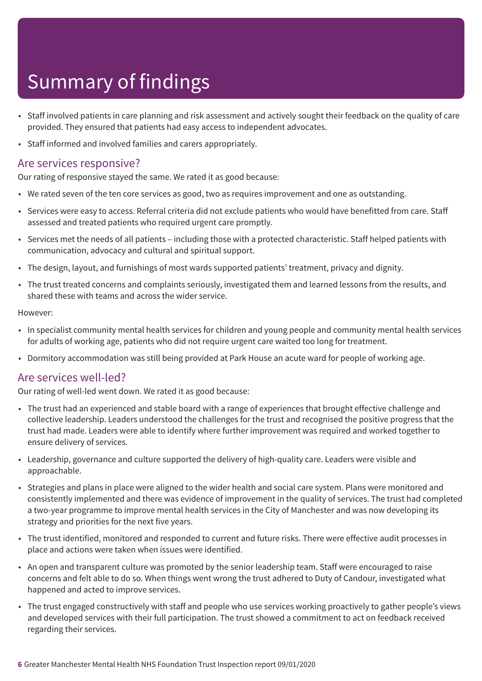- Staff involved patients in care planning and risk assessment and actively sought their feedback on the quality of care provided. They ensured that patients had easy access to independent advocates.
- Staff informed and involved families and carers appropriately.

### Are services responsive?

Our rating of responsive stayed the same. We rated it as good because:

- We rated seven of the ten core services as good, two as requires improvement and one as outstanding.
- Services were easy to access. Referral criteria did not exclude patients who would have benefitted from care. Staff assessed and treated patients who required urgent care promptly.
- Services met the needs of all patients including those with a protected characteristic. Staff helped patients with communication, advocacy and cultural and spiritual support.
- The design, layout, and furnishings of most wards supported patients' treatment, privacy and dignity.
- The trust treated concerns and complaints seriously, investigated them and learned lessons from the results, and shared these with teams and across the wider service.

#### However:

- In specialist community mental health services for children and young people and community mental health services for adults of working age, patients who did not require urgent care waited too long for treatment.
- Dormitory accommodation was still being provided at Park House an acute ward for people of working age.

### Are services well-led?

Our rating of well-led went down. We rated it as good because:

- The trust had an experienced and stable board with a range of experiences that brought effective challenge and collective leadership. Leaders understood the challenges for the trust and recognised the positive progress that the trust had made. Leaders were able to identify where further improvement was required and worked together to ensure delivery of services.
- Leadership, governance and culture supported the delivery of high-quality care. Leaders were visible and approachable.
- Strategies and plans in place were aligned to the wider health and social care system. Plans were monitored and consistently implemented and there was evidence of improvement in the quality of services. The trust had completed a two-year programme to improve mental health services in the City of Manchester and was now developing its strategy and priorities for the next five years.
- The trust identified, monitored and responded to current and future risks. There were effective audit processes in place and actions were taken when issues were identified.
- An open and transparent culture was promoted by the senior leadership team. Staff were encouraged to raise concerns and felt able to do so. When things went wrong the trust adhered to Duty of Candour, investigated what happened and acted to improve services.
- The trust engaged constructively with staff and people who use services working proactively to gather people's views and developed services with their full participation. The trust showed a commitment to act on feedback received regarding their services.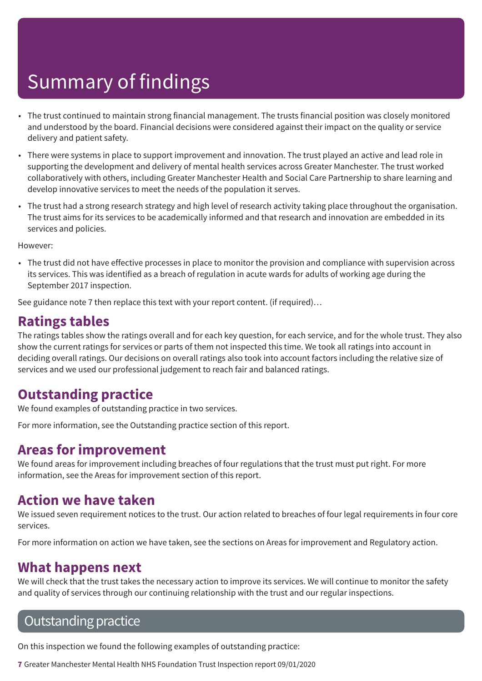- The trust continued to maintain strong financial management. The trusts financial position was closely monitored and understood by the board. Financial decisions were considered against their impact on the quality or service delivery and patient safety.
- There were systems in place to support improvement and innovation. The trust played an active and lead role in supporting the development and delivery of mental health services across Greater Manchester. The trust worked collaboratively with others, including Greater Manchester Health and Social Care Partnership to share learning and develop innovative services to meet the needs of the population it serves.
- The trust had a strong research strategy and high level of research activity taking place throughout the organisation. The trust aims for its services to be academically informed and that research and innovation are embedded in its services and policies.

However:

• The trust did not have effective processes in place to monitor the provision and compliance with supervision across its services. This was identified as a breach of regulation in acute wards for adults of working age during the September 2017 inspection.

See guidance note 7 then replace this text with your report content. (if required)…

## **Ratings tables**

The ratings tables show the ratings overall and for each key question, for each service, and for the whole trust. They also show the current ratings for services or parts of them not inspected this time. We took all ratings into account in deciding overall ratings. Our decisions on overall ratings also took into account factors including the relative size of services and we used our professional judgement to reach fair and balanced ratings.

## **Outstanding practice**

We found examples of outstanding practice in two services.

For more information, see the Outstanding practice section of this report.

### **Areas for improvement**

We found areas for improvement including breaches of four regulations that the trust must put right. For more information, see the Areas for improvement section of this report.

### **Action we have taken**

We issued seven requirement notices to the trust. Our action related to breaches of four legal requirements in four core services.

For more information on action we have taken, see the sections on Areas for improvement and Regulatory action.

### **What happens next**

We will check that the trust takes the necessary action to improve its services. We will continue to monitor the safety and quality of services through our continuing relationship with the trust and our regular inspections.

## **Outstanding practice**

On this inspection we found the following examples of outstanding practice:

**7** Greater Manchester Mental Health NHS Foundation Trust Inspection report 09/01/2020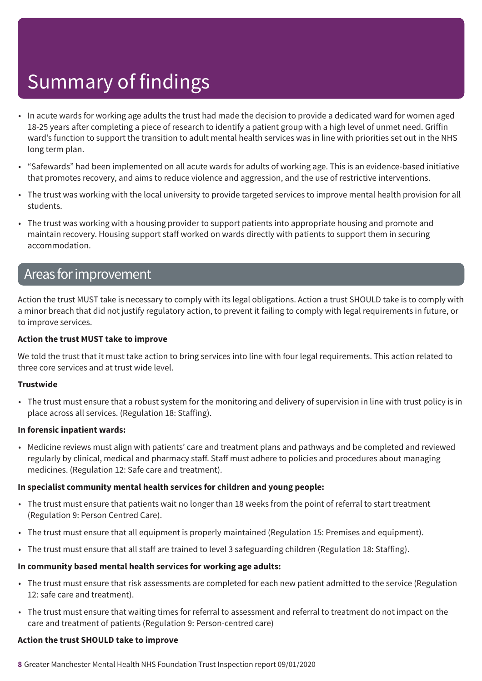- In acute wards for working age adults the trust had made the decision to provide a dedicated ward for women aged 18-25 years after completing a piece of research to identify a patient group with a high level of unmet need. Griffin ward's function to support the transition to adult mental health services was in line with priorities set out in the NHS long term plan.
- "Safewards" had been implemented on all acute wards for adults of working age. This is an evidence-based initiative that promotes recovery, and aims to reduce violence and aggression, and the use of restrictive interventions.
- The trust was working with the local university to provide targeted services to improve mental health provision for all students.
- The trust was working with a housing provider to support patients into appropriate housing and promote and maintain recovery. Housing support staff worked on wards directly with patients to support them in securing accommodation.

### Areas forimprovement

Action the trust MUST take is necessary to comply with its legal obligations. Action a trust SHOULD take is to comply with a minor breach that did not justify regulatory action, to prevent it failing to comply with legal requirements in future, or to improve services.

#### **Action the trust MUST take to improve**

We told the trust that it must take action to bring services into line with four legal requirements. This action related to three core services and at trust wide level.

#### **Trustwide**

• The trust must ensure that a robust system for the monitoring and delivery of supervision in line with trust policy is in place across all services. (Regulation 18: Staffing).

#### **In forensic inpatient wards:**

• Medicine reviews must align with patients' care and treatment plans and pathways and be completed and reviewed regularly by clinical, medical and pharmacy staff. Staff must adhere to policies and procedures about managing medicines. (Regulation 12: Safe care and treatment).

#### **In specialist community mental health services for children and young people:**

- The trust must ensure that patients wait no longer than 18 weeks from the point of referral to start treatment (Regulation 9: Person Centred Care).
- The trust must ensure that all equipment is properly maintained (Regulation 15: Premises and equipment).
- The trust must ensure that all staff are trained to level 3 safeguarding children (Regulation 18: Staffing).

#### **In community based mental health services for working age adults:**

- The trust must ensure that risk assessments are completed for each new patient admitted to the service (Regulation 12: safe care and treatment).
- The trust must ensure that waiting times for referral to assessment and referral to treatment do not impact on the care and treatment of patients (Regulation 9: Person-centred care)

#### **Action the trust SHOULD take to improve**

**8** Greater Manchester Mental Health NHS Foundation Trust Inspection report 09/01/2020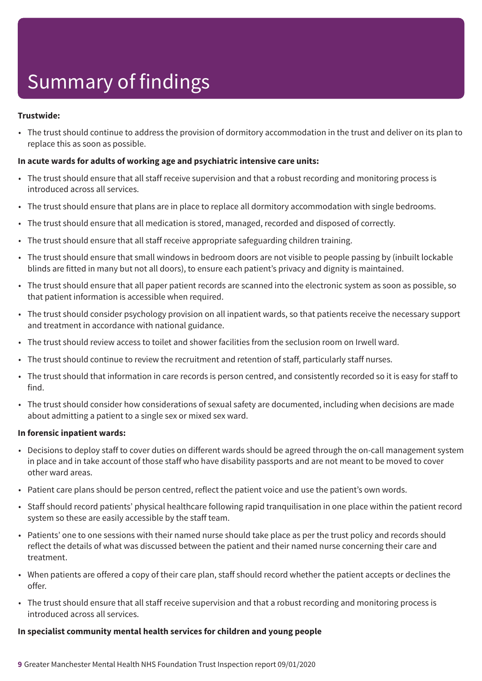#### **Trustwide:**

• The trust should continue to address the provision of dormitory accommodation in the trust and deliver on its plan to replace this as soon as possible.

#### **In acute wards for adults of working age and psychiatric intensive care units:**

- The trust should ensure that all staff receive supervision and that a robust recording and monitoring process is introduced across all services.
- The trust should ensure that plans are in place to replace all dormitory accommodation with single bedrooms.
- The trust should ensure that all medication is stored, managed, recorded and disposed of correctly.
- The trust should ensure that all staff receive appropriate safeguarding children training.
- The trust should ensure that small windows in bedroom doors are not visible to people passing by (inbuilt lockable blinds are fitted in many but not all doors), to ensure each patient's privacy and dignity is maintained.
- The trust should ensure that all paper patient records are scanned into the electronic system as soon as possible, so that patient information is accessible when required.
- The trust should consider psychology provision on all inpatient wards, so that patients receive the necessary support and treatment in accordance with national guidance.
- The trust should review access to toilet and shower facilities from the seclusion room on Irwell ward.
- The trust should continue to review the recruitment and retention of staff, particularly staff nurses.
- The trust should that information in care records is person centred, and consistently recorded so it is easy for staff to find.
- The trust should consider how considerations of sexual safety are documented, including when decisions are made about admitting a patient to a single sex or mixed sex ward.

#### **In forensic inpatient wards:**

- Decisions to deploy staff to cover duties on different wards should be agreed through the on-call management system in place and in take account of those staff who have disability passports and are not meant to be moved to cover other ward areas.
- Patient care plans should be person centred, reflect the patient voice and use the patient's own words.
- Staff should record patients' physical healthcare following rapid tranquilisation in one place within the patient record system so these are easily accessible by the staff team.
- Patients' one to one sessions with their named nurse should take place as per the trust policy and records should reflect the details of what was discussed between the patient and their named nurse concerning their care and treatment.
- When patients are offered a copy of their care plan, staff should record whether the patient accepts or declines the offer.
- The trust should ensure that all staff receive supervision and that a robust recording and monitoring process is introduced across all services.

#### **In specialist community mental health services for children and young people**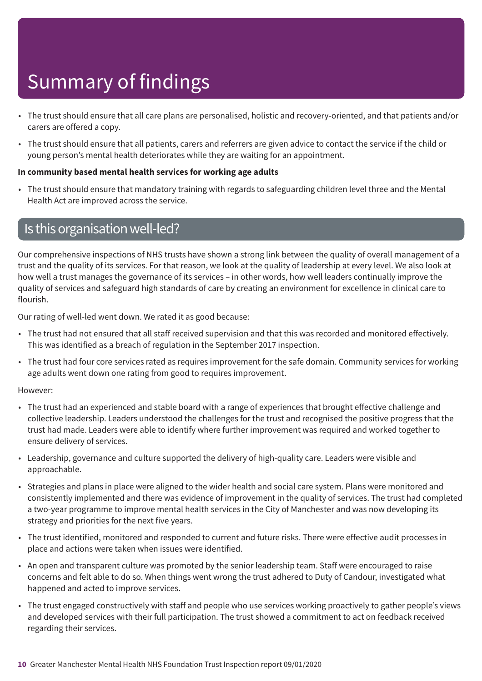- The trust should ensure that all care plans are personalised, holistic and recovery-oriented, and that patients and/or carers are offered a copy.
- The trust should ensure that all patients, carers and referrers are given advice to contact the service if the child or young person's mental health deteriorates while they are waiting for an appointment.

#### **In community based mental health services for working age adults**

• The trust should ensure that mandatory training with regards to safeguarding children level three and the Mental Health Act are improved across the service.

### Is this organisation well-led?

Our comprehensive inspections of NHS trusts have shown a strong link between the quality of overall management of a trust and the quality of its services. For that reason, we look at the quality of leadership at every level. We also look at how well a trust manages the governance of its services – in other words, how well leaders continually improve the quality of services and safeguard high standards of care by creating an environment for excellence in clinical care to flourish.

Our rating of well-led went down. We rated it as good because:

- The trust had not ensured that all staff received supervision and that this was recorded and monitored effectively. This was identified as a breach of regulation in the September 2017 inspection.
- The trust had four core services rated as requires improvement for the safe domain. Community services for working age adults went down one rating from good to requires improvement.

#### However:

- The trust had an experienced and stable board with a range of experiences that brought effective challenge and collective leadership. Leaders understood the challenges for the trust and recognised the positive progress that the trust had made. Leaders were able to identify where further improvement was required and worked together to ensure delivery of services.
- Leadership, governance and culture supported the delivery of high-quality care. Leaders were visible and approachable.
- Strategies and plans in place were aligned to the wider health and social care system. Plans were monitored and consistently implemented and there was evidence of improvement in the quality of services. The trust had completed a two-year programme to improve mental health services in the City of Manchester and was now developing its strategy and priorities for the next five years.
- The trust identified, monitored and responded to current and future risks. There were effective audit processes in place and actions were taken when issues were identified.
- An open and transparent culture was promoted by the senior leadership team. Staff were encouraged to raise concerns and felt able to do so. When things went wrong the trust adhered to Duty of Candour, investigated what happened and acted to improve services.
- The trust engaged constructively with staff and people who use services working proactively to gather people's views and developed services with their full participation. The trust showed a commitment to act on feedback received regarding their services.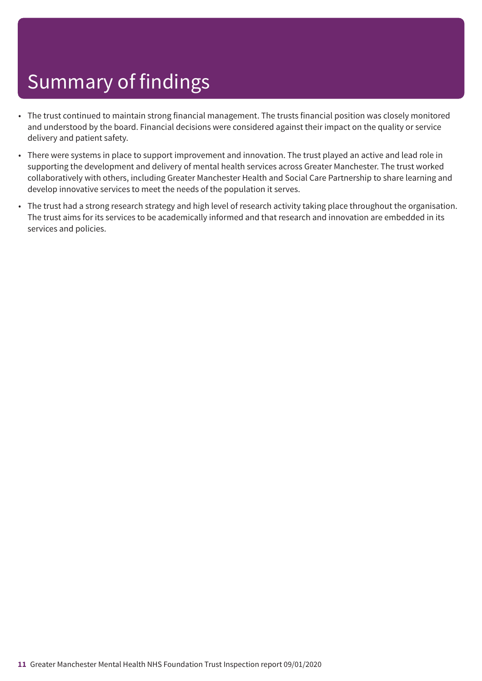- The trust continued to maintain strong financial management. The trusts financial position was closely monitored and understood by the board. Financial decisions were considered against their impact on the quality or service delivery and patient safety.
- There were systems in place to support improvement and innovation. The trust played an active and lead role in supporting the development and delivery of mental health services across Greater Manchester. The trust worked collaboratively with others, including Greater Manchester Health and Social Care Partnership to share learning and develop innovative services to meet the needs of the population it serves.
- The trust had a strong research strategy and high level of research activity taking place throughout the organisation. The trust aims for its services to be academically informed and that research and innovation are embedded in its services and policies.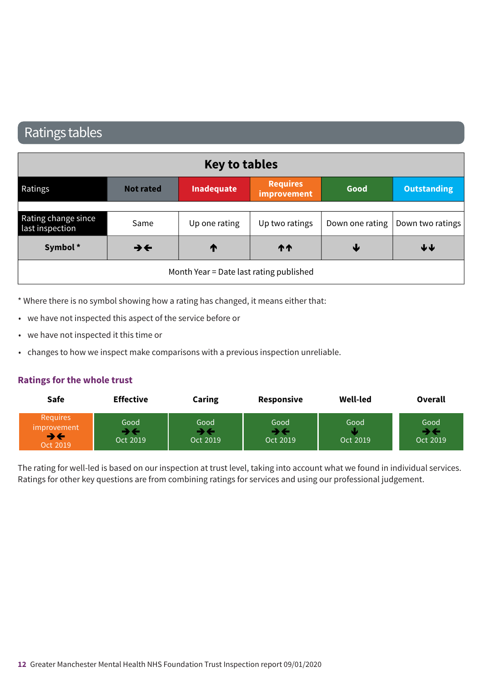## Ratings tables

|                                        |                          | <b>Key to tables</b>                    |                                |      |                                    |
|----------------------------------------|--------------------------|-----------------------------------------|--------------------------------|------|------------------------------------|
| Ratings                                | <b>Not rated</b>         | Inadequate                              | <b>Requires</b><br>improvement | Good | <b>Outstanding</b>                 |
|                                        |                          |                                         |                                |      |                                    |
| Rating change since<br>last inspection | Same                     | Up one rating                           | Up two ratings                 |      | Down one rating   Down two ratings |
| Symbol*                                | $\rightarrow \leftarrow$ | ↑                                       | <b>11</b>                      | ₩    | ↓↓                                 |
|                                        |                          | Month Year = Date last rating published |                                |      |                                    |

\* Where there is no symbol showing how a rating has changed, it means either that:

- we have not inspected this aspect of the service before or
- we have not inspected it this time or
- changes to how we inspect make comparisons with a previous inspection unreliable.

#### **Ratings for the whole trust**

| Safe                                      | <b>Effective</b> | <b>Caring</b>    | <b>Responsive</b> | <b>Well-led</b>  | <b>Overall</b>         |
|-------------------------------------------|------------------|------------------|-------------------|------------------|------------------------|
| Requires<br>improvement<br>→←<br>Oct 2019 | Good<br>Oct 2019 | Good<br>Oct 2019 | Good<br>Oct 2019  | Good<br>Oct 2019 | Good<br>≯€<br>Oct 2019 |

The rating for well-led is based on our inspection at trust level, taking into account what we found in individual services. Ratings for other key questions are from combining ratings for services and using our professional judgement.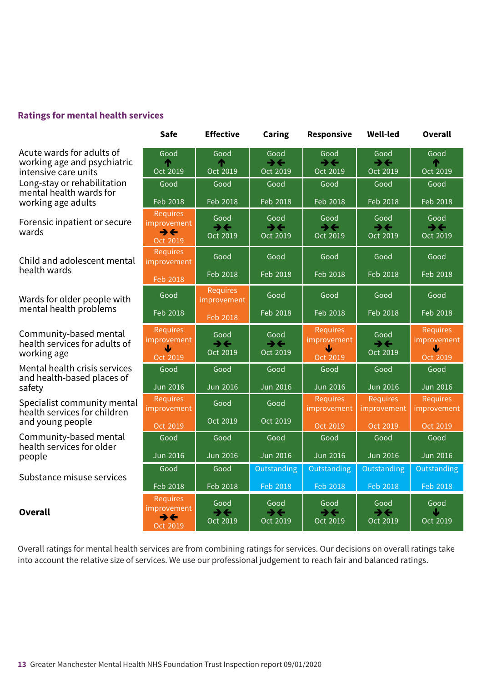#### **Ratings for mental health services**

Acute wards for adults of working age and psychiatric intensive care units Long-stay or rehabilitation mental health wards for working age adults working

> Forensic inpatient or secure wards same-r–––ating same-r–––ating same-r–––ating same-r–––ating same-r–––ating

> > Child and adolescent mental enne and det

Wards for older people with mental health problems

Community-based mental health services for adults of nearm serv.<br>working age

Mental health crisis services and health-based places of safety

Specialist community mental health services for children nealth services for<br>and young people

Community-based mental health services for older people

Substance misuse services

**Overall** Overall

| Good<br>m<br>Oct 2019                                                  | Good<br>⋔<br>Oct 2019                        | Good<br>₹€<br>Oct 2019                       | Good<br>$\rightarrow \leftarrow$<br>Oct 2019    | Good<br>→←<br>Oct 2019                       | Good<br>⋔<br>Oct 2019                                                 |
|------------------------------------------------------------------------|----------------------------------------------|----------------------------------------------|-------------------------------------------------|----------------------------------------------|-----------------------------------------------------------------------|
| Good                                                                   | Good                                         | Good                                         | Good                                            | Good                                         | Good                                                                  |
| Feb 2018                                                               | Feb 2018                                     | Feb 2018                                     | Feb 2018                                        | Feb 2018                                     | Feb 2018                                                              |
| <b>Requires</b><br>improvement<br>$\rightarrow \leftarrow$<br>Oct 2019 | Good<br>$\rightarrow \leftarrow$<br>Oct 2019 | Good<br>$\rightarrow \leftarrow$<br>Oct 2019 | Good<br>$\rightarrow \leftarrow$<br>Oct 2019    | Good<br>$\rightarrow \leftarrow$<br>Oct 2019 | Good<br>$\rightarrow \leftarrow$<br>Oct 2019                          |
| <b>Requires</b><br>improvement                                         | Good                                         | Good                                         | Good                                            | Good                                         | Good                                                                  |
| Feb 2018                                                               | Feb 2018                                     | Feb 2018                                     | Feb 2018                                        | Feb 2018                                     | Feb 2018                                                              |
| Good                                                                   | <b>Requires</b><br>improvement               | Good                                         | Good                                            | Good                                         | Good                                                                  |
| Feb 2018                                                               | Feb 2018                                     | Feb 2018                                     | Feb 2018                                        | Feb 2018                                     | Feb 2018                                                              |
| <b>Requires</b><br>improvement<br>₩<br>Oct 2019                        | Good<br>$\rightarrow \leftarrow$<br>Oct 2019 | Good<br>$\rightarrow \leftarrow$<br>Oct 2019 | <b>Requires</b><br>improvement<br>Ψ<br>Oct 2019 | Good<br>$\rightarrow \leftarrow$<br>Oct 2019 | <b>Requires</b><br>improvement<br>$\overline{\mathbf{v}}$<br>Oct 2019 |
| Good                                                                   | Good                                         | Good                                         | Good                                            | Good                                         | Good                                                                  |
| <b>Jun 2016</b>                                                        | <b>Jun 2016</b>                              | <b>Jun 2016</b>                              | <b>Jun 2016</b>                                 | <b>Jun 2016</b>                              | <b>Jun 2016</b>                                                       |
| <b>Requires</b><br>improvement                                         | Good                                         | Good                                         | <b>Requires</b><br>improvement                  | <b>Requires</b><br>improvement               | <b>Requires</b><br>improvement                                        |
| Oct 2019                                                               | Oct 2019                                     | Oct 2019                                     | Oct 2019                                        | Oct 2019                                     | Oct 2019                                                              |
| Good                                                                   | Good                                         | Good                                         | Good                                            | Good                                         | Good                                                                  |
| <b>Jun 2016</b>                                                        | <b>Jun 2016</b>                              | <b>Jun 2016</b>                              | <b>Jun 2016</b>                                 | <b>Jun 2016</b>                              | <b>Jun 2016</b>                                                       |
| Good                                                                   | Good                                         | Outstanding                                  | <b>Outstanding</b>                              | Outstanding                                  | Outstanding                                                           |
| Feb 2018                                                               | Feb 2018                                     | Feb 2018                                     | Feb 2018                                        | Feb 2018                                     | Feb 2018                                                              |
| <b>Requires</b><br>improvement<br>→←<br>Oct 2019                       | Good<br>$\rightarrow \leftarrow$<br>Oct 2019 | Good<br>$\rightarrow \leftarrow$<br>Oct 2019 | Good<br>$\rightarrow \leftarrow$<br>Oct 2019    | Good<br>→←<br>Oct 2019                       | Good<br>J<br>Oct 2019                                                 |

**Safe Effective Caring Responsive Well-led Overall**

Overall ratings for mental health services are from combining ratings for services. Our decisions on overall ratings take into account the relative size of services. We use our professional judgement to reach fair and balanced ratings.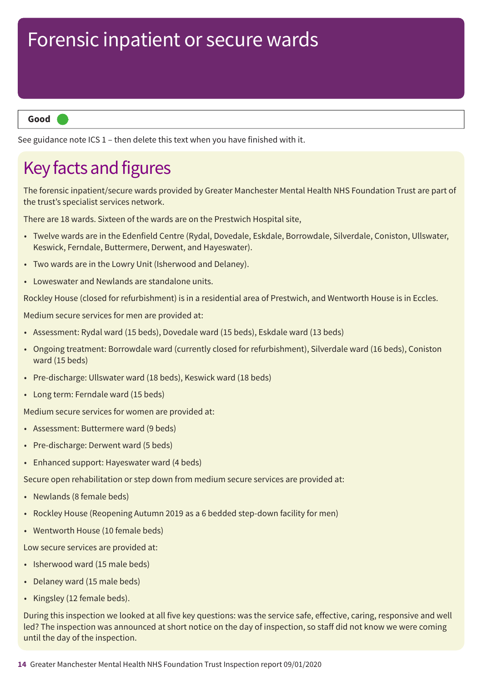**Good –––**

See guidance note ICS 1 – then delete this text when you have finished with it.

## Key facts and figures

The forensic inpatient/secure wards provided by Greater Manchester Mental Health NHS Foundation Trust are part of the trust's specialist services network.

There are 18 wards. Sixteen of the wards are on the Prestwich Hospital site,

- Twelve wards are in the Edenfield Centre (Rydal, Dovedale, Eskdale, Borrowdale, Silverdale, Coniston, Ullswater, Keswick, Ferndale, Buttermere, Derwent, and Hayeswater).
- Two wards are in the Lowry Unit (Isherwood and Delaney).
- Loweswater and Newlands are standalone units.

Rockley House (closed for refurbishment) is in a residential area of Prestwich, and Wentworth House is in Eccles.

Medium secure services for men are provided at:

- Assessment: Rydal ward (15 beds), Dovedale ward (15 beds), Eskdale ward (13 beds)
- Ongoing treatment: Borrowdale ward (currently closed for refurbishment), Silverdale ward (16 beds), Coniston ward (15 beds)
- Pre-discharge: Ullswater ward (18 beds), Keswick ward (18 beds)
- Long term: Ferndale ward (15 beds)

Medium secure services for women are provided at:

- Assessment: Buttermere ward (9 beds)
- Pre-discharge: Derwent ward (5 beds)
- Enhanced support: Hayeswater ward (4 beds)

Secure open rehabilitation or step down from medium secure services are provided at:

- Newlands (8 female beds)
- Rockley House (Reopening Autumn 2019 as a 6 bedded step-down facility for men)
- Wentworth House (10 female beds)

Low secure services are provided at:

- Isherwood ward (15 male beds)
- Delaney ward (15 male beds)
- Kingsley (12 female beds).

During this inspection we looked at all five key questions: was the service safe, effective, caring, responsive and well led? The inspection was announced at short notice on the day of inspection, so staff did not know we were coming until the day of the inspection.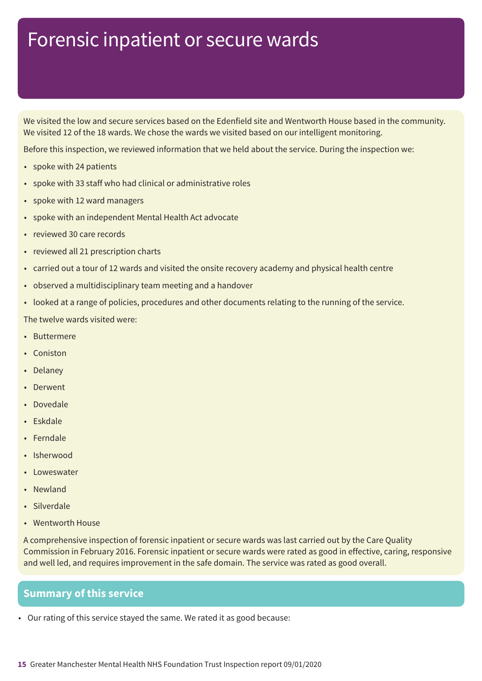We visited the low and secure services based on the Edenfield site and Wentworth House based in the community. We visited 12 of the 18 wards. We chose the wards we visited based on our intelligent monitoring.

Before this inspection, we reviewed information that we held about the service. During the inspection we:

- spoke with 24 patients
- spoke with 33 staff who had clinical or administrative roles
- spoke with 12 ward managers
- spoke with an independent Mental Health Act advocate
- reviewed 30 care records
- reviewed all 21 prescription charts
- carried out a tour of 12 wards and visited the onsite recovery academy and physical health centre
- observed a multidisciplinary team meeting and a handover
- looked at a range of policies, procedures and other documents relating to the running of the service.

The twelve wards visited were:

- Buttermere
- Coniston
- Delaney
- Derwent
- Dovedale
- Eskdale
- Ferndale
- Isherwood
- Loweswater
- Newland
- Silverdale
- Wentworth House

A comprehensive inspection of forensic inpatient or secure wards was last carried out by the Care Quality Commission in February 2016. Forensic inpatient or secure wards were rated as good in effective, caring, responsive and well led, and requires improvement in the safe domain. The service was rated as good overall.

### **Summary of this service**

• Our rating of this service stayed the same. We rated it as good because: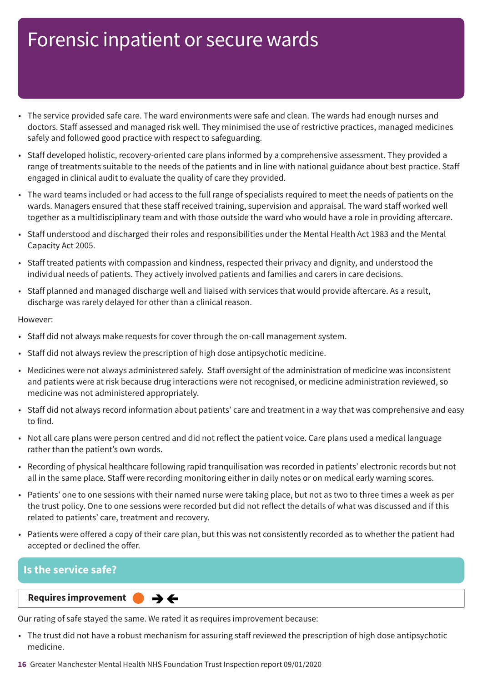- The service provided safe care. The ward environments were safe and clean. The wards had enough nurses and doctors. Staff assessed and managed risk well. They minimised the use of restrictive practices, managed medicines safely and followed good practice with respect to safeguarding.
- Staff developed holistic, recovery-oriented care plans informed by a comprehensive assessment. They provided a range of treatments suitable to the needs of the patients and in line with national guidance about best practice. Staff engaged in clinical audit to evaluate the quality of care they provided.
- The ward teams included or had access to the full range of specialists required to meet the needs of patients on the wards. Managers ensured that these staff received training, supervision and appraisal. The ward staff worked well together as a multidisciplinary team and with those outside the ward who would have a role in providing aftercare.
- Staff understood and discharged their roles and responsibilities under the Mental Health Act 1983 and the Mental Capacity Act 2005.
- Staff treated patients with compassion and kindness, respected their privacy and dignity, and understood the individual needs of patients. They actively involved patients and families and carers in care decisions.
- Staff planned and managed discharge well and liaised with services that would provide aftercare. As a result, discharge was rarely delayed for other than a clinical reason.

#### However:

- Staff did not always make requests for cover through the on-call management system.
- Staff did not always review the prescription of high dose antipsychotic medicine.
- Medicines were not always administered safely. Staff oversight of the administration of medicine was inconsistent and patients were at risk because drug interactions were not recognised, or medicine administration reviewed, so medicine was not administered appropriately.
- Staff did not always record information about patients' care and treatment in a way that was comprehensive and easy to find.
- Not all care plans were person centred and did not reflect the patient voice. Care plans used a medical language rather than the patient's own words.
- Recording of physical healthcare following rapid tranquilisation was recorded in patients' electronic records but not all in the same place. Staff were recording monitoring either in daily notes or on medical early warning scores.
- Patients' one to one sessions with their named nurse were taking place, but not as two to three times a week as per the trust policy. One to one sessions were recorded but did not reflect the details of what was discussed and if this related to patients' care, treatment and recovery.
- Patients were offered a copy of their care plan, but this was not consistently recorded as to whether the patient had accepted or declined the offer.

### **Is the service safe?**

**Requires improvement**  $\rightarrow$   $\leftarrow$ 

Our rating of safe stayed the same. We rated it as requires improvement because:

- The trust did not have a robust mechanism for assuring staff reviewed the prescription of high dose antipsychotic medicine.
- **16** Greater Manchester Mental Health NHS Foundation Trust Inspection report 09/01/2020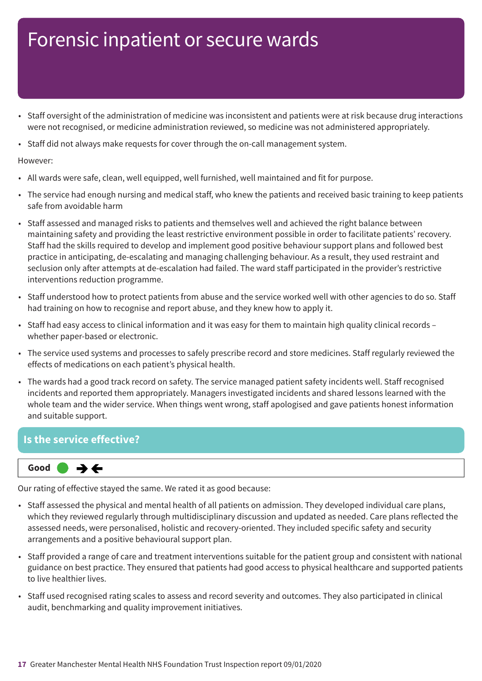- Staff oversight of the administration of medicine was inconsistent and patients were at risk because drug interactions were not recognised, or medicine administration reviewed, so medicine was not administered appropriately.
- Staff did not always make requests for cover through the on-call management system.

#### However:

- All wards were safe, clean, well equipped, well furnished, well maintained and fit for purpose.
- The service had enough nursing and medical staff, who knew the patients and received basic training to keep patients safe from avoidable harm
- Staff assessed and managed risks to patients and themselves well and achieved the right balance between maintaining safety and providing the least restrictive environment possible in order to facilitate patients' recovery. Staff had the skills required to develop and implement good positive behaviour support plans and followed best practice in anticipating, de-escalating and managing challenging behaviour. As a result, they used restraint and seclusion only after attempts at de-escalation had failed. The ward staff participated in the provider's restrictive interventions reduction programme.
- Staff understood how to protect patients from abuse and the service worked well with other agencies to do so. Staff had training on how to recognise and report abuse, and they knew how to apply it.
- Staff had easy access to clinical information and it was easy for them to maintain high quality clinical records whether paper-based or electronic.
- The service used systems and processes to safely prescribe record and store medicines. Staff regularly reviewed the effects of medications on each patient's physical health.
- The wards had a good track record on safety. The service managed patient safety incidents well. Staff recognised incidents and reported them appropriately. Managers investigated incidents and shared lessons learned with the whole team and the wider service. When things went wrong, staff apologised and gave patients honest information and suitable support.

### **Is the service effective?**

 $\rightarrow \leftarrow$ **Same–––rating Good –––**

Our rating of effective stayed the same. We rated it as good because:

- Staff assessed the physical and mental health of all patients on admission. They developed individual care plans, which they reviewed regularly through multidisciplinary discussion and updated as needed. Care plans reflected the assessed needs, were personalised, holistic and recovery-oriented. They included specific safety and security arrangements and a positive behavioural support plan.
- Staff provided a range of care and treatment interventions suitable for the patient group and consistent with national guidance on best practice. They ensured that patients had good access to physical healthcare and supported patients to live healthier lives.
- Staff used recognised rating scales to assess and record severity and outcomes. They also participated in clinical audit, benchmarking and quality improvement initiatives.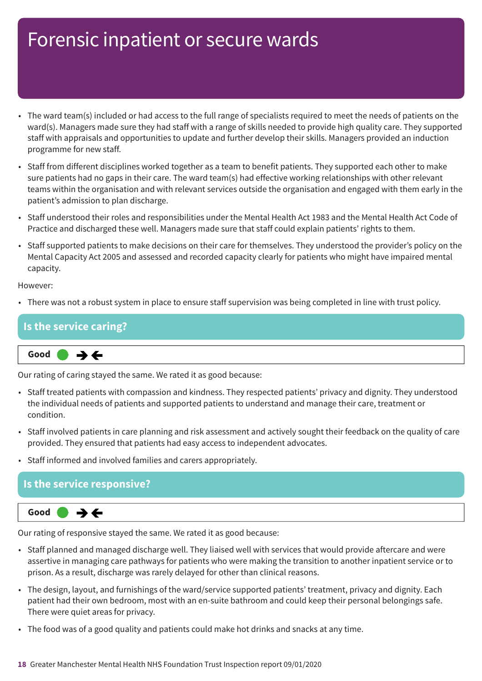- The ward team(s) included or had access to the full range of specialists required to meet the needs of patients on the ward(s). Managers made sure they had staff with a range of skills needed to provide high quality care. They supported staff with appraisals and opportunities to update and further develop their skills. Managers provided an induction programme for new staff.
- Staff from different disciplines worked together as a team to benefit patients. They supported each other to make sure patients had no gaps in their care. The ward team(s) had effective working relationships with other relevant teams within the organisation and with relevant services outside the organisation and engaged with them early in the patient's admission to plan discharge.
- Staff understood their roles and responsibilities under the Mental Health Act 1983 and the Mental Health Act Code of Practice and discharged these well. Managers made sure that staff could explain patients' rights to them.
- Staff supported patients to make decisions on their care for themselves. They understood the provider's policy on the Mental Capacity Act 2005 and assessed and recorded capacity clearly for patients who might have impaired mental capacity.

However:

• There was not a robust system in place to ensure staff supervision was being completed in line with trust policy.

|  | $\overline{\phantom{a}}$<br>Good<br>$\rightarrow$ $\leftarrow$ |
|--|----------------------------------------------------------------|
|  | ane service caring?                                            |

Our rating of caring stayed the same. We rated it as good because:

- Staff treated patients with compassion and kindness. They respected patients' privacy and dignity. They understood the individual needs of patients and supported patients to understand and manage their care, treatment or condition.
- Staff involved patients in care planning and risk assessment and actively sought their feedback on the quality of care provided. They ensured that patients had easy access to independent advocates.
- Staff informed and involved families and carers appropriately.

### **Is the service responsive?**



Our rating of responsive stayed the same. We rated it as good because:

- Staff planned and managed discharge well. They liaised well with services that would provide aftercare and were assertive in managing care pathways for patients who were making the transition to another inpatient service or to prison. As a result, discharge was rarely delayed for other than clinical reasons.
- The design, layout, and furnishings of the ward/service supported patients' treatment, privacy and dignity. Each patient had their own bedroom, most with an en-suite bathroom and could keep their personal belongings safe. There were quiet areas for privacy.
- The food was of a good quality and patients could make hot drinks and snacks at any time.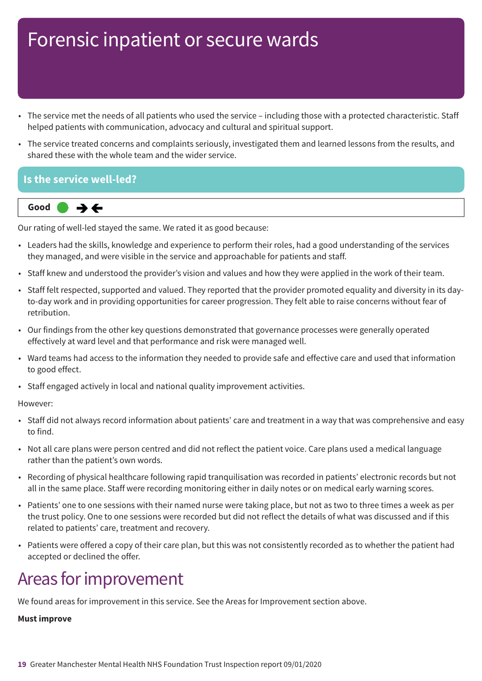- The service met the needs of all patients who used the service including those with a protected characteristic. Staff helped patients with communication, advocacy and cultural and spiritual support.
- The service treated concerns and complaints seriously, investigated them and learned lessons from the results, and shared these with the whole team and the wider service.

### **Is the service well-led?**



Our rating of well-led stayed the same. We rated it as good because:

- Leaders had the skills, knowledge and experience to perform their roles, had a good understanding of the services they managed, and were visible in the service and approachable for patients and staff.
- Staff knew and understood the provider's vision and values and how they were applied in the work of their team.
- Staff felt respected, supported and valued. They reported that the provider promoted equality and diversity in its dayto-day work and in providing opportunities for career progression. They felt able to raise concerns without fear of retribution.
- Our findings from the other key questions demonstrated that governance processes were generally operated effectively at ward level and that performance and risk were managed well.
- Ward teams had access to the information they needed to provide safe and effective care and used that information to good effect.
- Staff engaged actively in local and national quality improvement activities.

#### However:

- Staff did not always record information about patients' care and treatment in a way that was comprehensive and easy to find.
- Not all care plans were person centred and did not reflect the patient voice. Care plans used a medical language rather than the patient's own words.
- Recording of physical healthcare following rapid tranquilisation was recorded in patients' electronic records but not all in the same place. Staff were recording monitoring either in daily notes or on medical early warning scores.
- Patients' one to one sessions with their named nurse were taking place, but not as two to three times a week as per the trust policy. One to one sessions were recorded but did not reflect the details of what was discussed and if this related to patients' care, treatment and recovery.
- Patients were offered a copy of their care plan, but this was not consistently recorded as to whether the patient had accepted or declined the offer.

## Areas for improvement

We found areas for improvement in this service. See the Areas for Improvement section above.

#### **Must improve**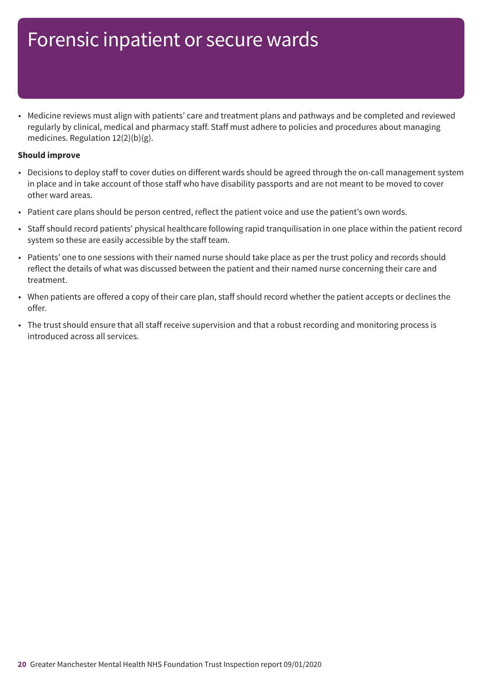• Medicine reviews must align with patients' care and treatment plans and pathways and be completed and reviewed regularly by clinical, medical and pharmacy staff. Staff must adhere to policies and procedures about managing medicines. Regulation 12(2)(b)(g).

#### **Should improve**

- Decisions to deploy staff to cover duties on different wards should be agreed through the on-call management system in place and in take account of those staff who have disability passports and are not meant to be moved to cover other ward areas.
- Patient care plans should be person centred, reflect the patient voice and use the patient's own words.
- Staff should record patients' physical healthcare following rapid tranquilisation in one place within the patient record system so these are easily accessible by the staff team.
- Patients' one to one sessions with their named nurse should take place as per the trust policy and records should reflect the details of what was discussed between the patient and their named nurse concerning their care and treatment.
- When patients are offered a copy of their care plan, staff should record whether the patient accepts or declines the offer.
- The trust should ensure that all staff receive supervision and that a robust recording and monitoring process is introduced across all services.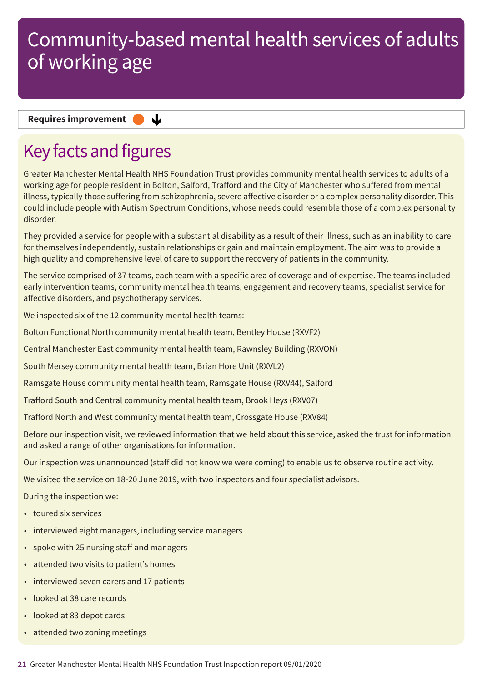#### **Requires improvement**

## Key facts and figures

Greater Manchester Mental Health NHS Foundation Trust provides community mental health services to adults of a working age for people resident in Bolton, Salford, Trafford and the City of Manchester who suffered from mental illness, typically those suffering from schizophrenia, severe affective disorder or a complex personality disorder. This could include people with Autism Spectrum Conditions, whose needs could resemble those of a complex personality disorder

They provided a service for people with a substantial disability as a result of their illness, such as an inability to care for themselves independently, sustain relationships or gain and maintain employment. The aim was to provide a high quality and comprehensive level of care to support the recovery of patients in the community.

The service comprised of 37 teams, each team with a specific area of coverage and of expertise. The teams included early intervention teams, community mental health teams, engagement and recovery teams, specialist service for affective disorders, and psychotherapy services.

We inspected six of the 12 community mental health teams:

Bolton Functional North community mental health team, Bentley House (RXVF2)

Central Manchester East community mental health team, Rawnsley Building (RXVON)

South Mersey community mental health team, Brian Hore Unit (RXVL2)

 $\mathbf{L}$ 

Ramsgate House community mental health team, Ramsgate House (RXV44), Salford

Trafford South and Central community mental health team, Brook Heys (RXV07)

Trafford North and West community mental health team, Crossgate House (RXV84)

Before our inspection visit, we reviewed information that we held about this service, asked the trust for information and asked a range of other organisations for information.

Our inspection was unannounced (staff did not know we were coming) to enable us to observe routine activity.

We visited the service on 18-20 June 2019, with two inspectors and four specialist advisors.

During the inspection we:

- toured six services
- interviewed eight managers, including service managers
- spoke with 25 nursing staff and managers
- attended two visits to patient's homes
- interviewed seven carers and 17 patients
- looked at 38 care records
- looked at 83 depot cards
- attended two zoning meetings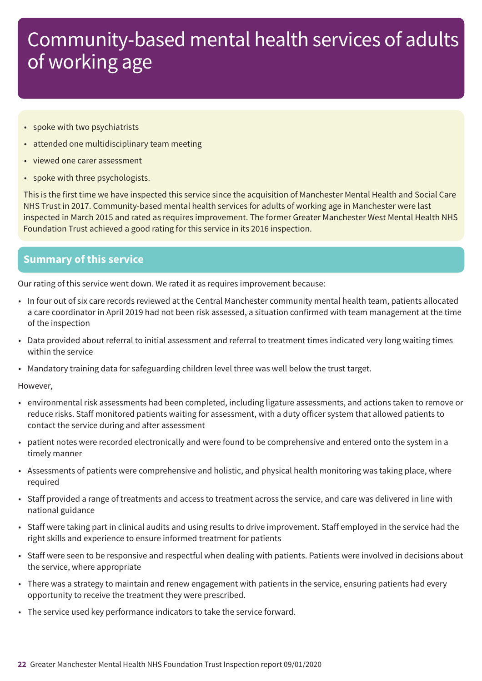- spoke with two psychiatrists
- attended one multidisciplinary team meeting
- viewed one carer assessment
- spoke with three psychologists.

This is the first time we have inspected this service since the acquisition of Manchester Mental Health and Social Care NHS Trust in 2017. Community-based mental health services for adults of working age in Manchester were last inspected in March 2015 and rated as requires improvement. The former Greater Manchester West Mental Health NHS Foundation Trust achieved a good rating for this service in its 2016 inspection.

### **Summary of this service**

Our rating of this service went down. We rated it as requires improvement because:

- In four out of six care records reviewed at the Central Manchester community mental health team, patients allocated a care coordinator in April 2019 had not been risk assessed, a situation confirmed with team management at the time of the inspection
- Data provided about referral to initial assessment and referral to treatment times indicated very long waiting times within the service
- Mandatory training data for safeguarding children level three was well below the trust target.

#### However,

- environmental risk assessments had been completed, including ligature assessments, and actions taken to remove or reduce risks. Staff monitored patients waiting for assessment, with a duty officer system that allowed patients to contact the service during and after assessment
- patient notes were recorded electronically and were found to be comprehensive and entered onto the system in a timely manner
- Assessments of patients were comprehensive and holistic, and physical health monitoring was taking place, where required
- Staff provided a range of treatments and access to treatment across the service, and care was delivered in line with national guidance
- Staff were taking part in clinical audits and using results to drive improvement. Staff employed in the service had the right skills and experience to ensure informed treatment for patients
- Staff were seen to be responsive and respectful when dealing with patients. Patients were involved in decisions about the service, where appropriate
- There was a strategy to maintain and renew engagement with patients in the service, ensuring patients had every opportunity to receive the treatment they were prescribed.
- The service used key performance indicators to take the service forward.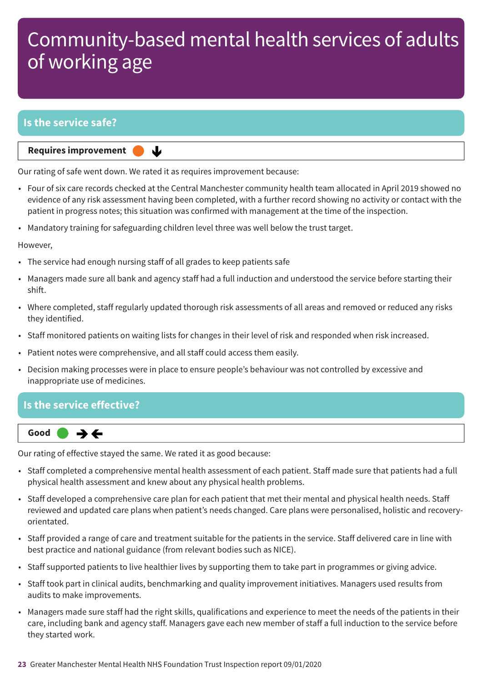### **Is the service safe?**

**Requires improvement** 

Our rating of safe went down. We rated it as requires improvement because:

↓

- Four of six care records checked at the Central Manchester community health team allocated in April 2019 showed no evidence of any risk assessment having been completed, with a further record showing no activity or contact with the patient in progress notes; this situation was confirmed with management at the time of the inspection.
- Mandatory training for safeguarding children level three was well below the trust target.

However,

- The service had enough nursing staff of all grades to keep patients safe
- Managers made sure all bank and agency staff had a full induction and understood the service before starting their shift.
- Where completed, staff regularly updated thorough risk assessments of all areas and removed or reduced any risks they identified.
- Staff monitored patients on waiting lists for changes in their level of risk and responded when risk increased.
- Patient notes were comprehensive, and all staff could access them easily.
- Decision making processes were in place to ensure people's behaviour was not controlled by excessive and inappropriate use of medicines.

### **Is the service effective?**



Our rating of effective stayed the same. We rated it as good because:

- Staff completed a comprehensive mental health assessment of each patient. Staff made sure that patients had a full physical health assessment and knew about any physical health problems.
- Staff developed a comprehensive care plan for each patient that met their mental and physical health needs. Staff reviewed and updated care plans when patient's needs changed. Care plans were personalised, holistic and recoveryorientated.
- Staff provided a range of care and treatment suitable for the patients in the service. Staff delivered care in line with best practice and national guidance (from relevant bodies such as NICE).
- Staff supported patients to live healthier lives by supporting them to take part in programmes or giving advice.
- Staff took part in clinical audits, benchmarking and quality improvement initiatives. Managers used results from audits to make improvements.
- Managers made sure staff had the right skills, qualifications and experience to meet the needs of the patients in their care, including bank and agency staff. Managers gave each new member of staff a full induction to the service before they started work.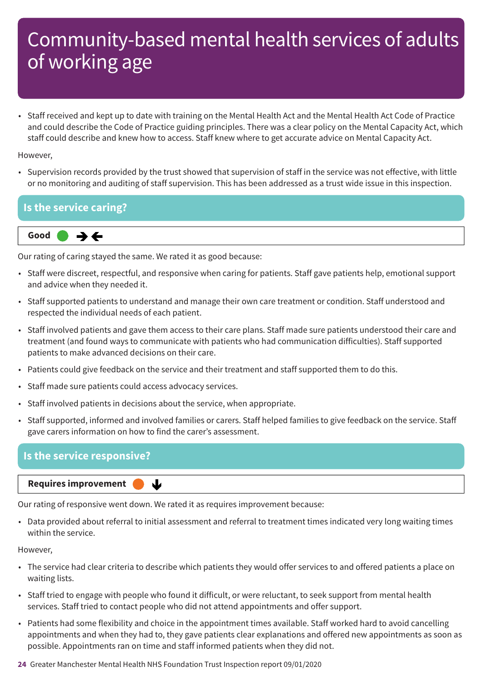• Staff received and kept up to date with training on the Mental Health Act and the Mental Health Act Code of Practice and could describe the Code of Practice guiding principles. There was a clear policy on the Mental Capacity Act, which staff could describe and knew how to access. Staff knew where to get accurate advice on Mental Capacity Act.

However,

• Supervision records provided by the trust showed that supervision of staff in the service was not effective, with little or no monitoring and auditing of staff supervision. This has been addressed as a trust wide issue in this inspection.

### **Is the service caring?**



Our rating of caring stayed the same. We rated it as good because:

- Staff were discreet, respectful, and responsive when caring for patients. Staff gave patients help, emotional support and advice when they needed it.
- Staff supported patients to understand and manage their own care treatment or condition. Staff understood and respected the individual needs of each patient.
- Staff involved patients and gave them access to their care plans. Staff made sure patients understood their care and treatment (and found ways to communicate with patients who had communication difficulties). Staff supported patients to make advanced decisions on their care.
- Patients could give feedback on the service and their treatment and staff supported them to do this.
- Staff made sure patients could access advocacy services.
- Staff involved patients in decisions about the service, when appropriate.

┻

• Staff supported, informed and involved families or carers. Staff helped families to give feedback on the service. Staff gave carers information on how to find the carer's assessment.

### **Is the service responsive?**

**Requires improvement** 

Our rating of responsive went down. We rated it as requires improvement because:

• Data provided about referral to initial assessment and referral to treatment times indicated very long waiting times within the service.

#### However,

- The service had clear criteria to describe which patients they would offer services to and offered patients a place on waiting lists.
- Staff tried to engage with people who found it difficult, or were reluctant, to seek support from mental health services. Staff tried to contact people who did not attend appointments and offer support.
- Patients had some flexibility and choice in the appointment times available. Staff worked hard to avoid cancelling appointments and when they had to, they gave patients clear explanations and offered new appointments as soon as possible. Appointments ran on time and staff informed patients when they did not.

**24** Greater Manchester Mental Health NHS Foundation Trust Inspection report 09/01/2020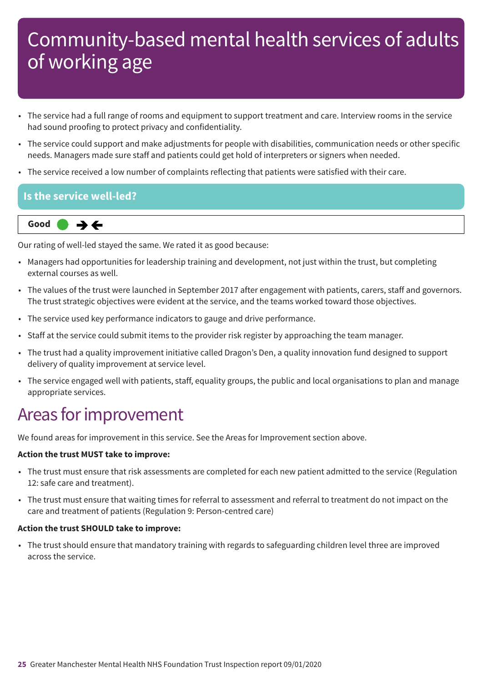- The service had a full range of rooms and equipment to support treatment and care. Interview rooms in the service had sound proofing to protect privacy and confidentiality.
- The service could support and make adjustments for people with disabilities, communication needs or other specific needs. Managers made sure staff and patients could get hold of interpreters or signers when needed.
- The service received a low number of complaints reflecting that patients were satisfied with their care.

### **Is the service well-led?**

**Same–––rating Good –––**  $\rightarrow$   $\leftarrow$ 

Our rating of well-led stayed the same. We rated it as good because:

- Managers had opportunities for leadership training and development, not just within the trust, but completing external courses as well.
- The values of the trust were launched in September 2017 after engagement with patients, carers, staff and governors. The trust strategic objectives were evident at the service, and the teams worked toward those objectives.
- The service used key performance indicators to gauge and drive performance.
- Staff at the service could submit items to the provider risk register by approaching the team manager.
- The trust had a quality improvement initiative called Dragon's Den, a quality innovation fund designed to support delivery of quality improvement at service level.
- The service engaged well with patients, staff, equality groups, the public and local organisations to plan and manage appropriate services.

## Areas for improvement

We found areas for improvement in this service. See the Areas for Improvement section above.

#### **Action the trust MUST take to improve:**

- The trust must ensure that risk assessments are completed for each new patient admitted to the service (Regulation 12: safe care and treatment).
- The trust must ensure that waiting times for referral to assessment and referral to treatment do not impact on the care and treatment of patients (Regulation 9: Person-centred care)

#### **Action the trust SHOULD take to improve:**

• The trust should ensure that mandatory training with regards to safeguarding children level three are improved across the service.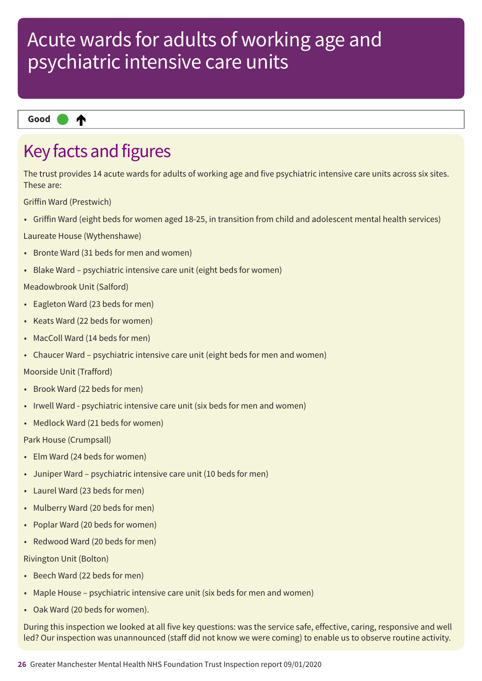₳ **Up one rating Good –––**

## Key facts and figures

The trust provides 14 acute wards for adults of working age and five psychiatric intensive care units across six sites. These are:

Griffin Ward (Prestwich)

• Griffin Ward (eight beds for women aged 18-25, in transition from child and adolescent mental health services)

Laureate House (Wythenshawe)

- Bronte Ward (31 beds for men and women)
- Blake Ward psychiatric intensive care unit (eight beds for women)

Meadowbrook Unit (Salford)

- Eagleton Ward (23 beds for men)
- Keats Ward (22 beds for women)
- MacColl Ward (14 beds for men)
- Chaucer Ward psychiatric intensive care unit (eight beds for men and women)

Moorside Unit (Trafford)

- Brook Ward (22 beds for men)
- Irwell Ward psychiatric intensive care unit (six beds for men and women)
- Medlock Ward (21 beds for women)

Park House (Crumpsall)

- Elm Ward (24 beds for women)
- Juniper Ward psychiatric intensive care unit (10 beds for men)
- Laurel Ward (23 beds for men)
- Mulberry Ward (20 beds for men)
- Poplar Ward (20 beds for women)
- Redwood Ward (20 beds for men)

#### Rivington Unit (Bolton)

- Beech Ward (22 beds for men)
- Maple House psychiatric intensive care unit (six beds for men and women)
- Oak Ward (20 beds for women).

During this inspection we looked at all five key questions: was the service safe, effective, caring, responsive and well led? Our inspection was unannounced (staff did not know we were coming) to enable us to observe routine activity.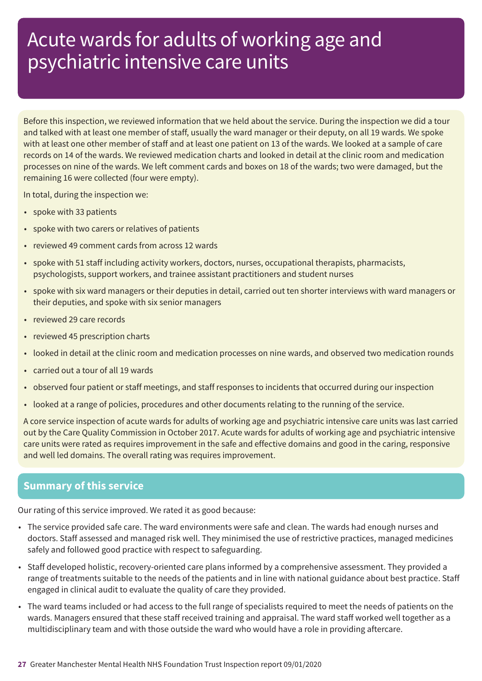Before this inspection, we reviewed information that we held about the service. During the inspection we did a tour and talked with at least one member of staff, usually the ward manager or their deputy, on all 19 wards. We spoke with at least one other member of staff and at least one patient on 13 of the wards. We looked at a sample of care records on 14 of the wards. We reviewed medication charts and looked in detail at the clinic room and medication processes on nine of the wards. We left comment cards and boxes on 18 of the wards; two were damaged, but the remaining 16 were collected (four were empty).

In total, during the inspection we:

- spoke with 33 patients
- spoke with two carers or relatives of patients
- reviewed 49 comment cards from across 12 wards
- spoke with 51 staff including activity workers, doctors, nurses, occupational therapists, pharmacists, psychologists, support workers, and trainee assistant practitioners and student nurses
- spoke with six ward managers or their deputies in detail, carried out ten shorter interviews with ward managers or their deputies, and spoke with six senior managers
- reviewed 29 care records
- reviewed 45 prescription charts
- looked in detail at the clinic room and medication processes on nine wards, and observed two medication rounds
- carried out a tour of all 19 wards
- observed four patient or staff meetings, and staff responses to incidents that occurred during our inspection
- looked at a range of policies, procedures and other documents relating to the running of the service.

A core service inspection of acute wards for adults of working age and psychiatric intensive care units was last carried out by the Care Quality Commission in October 2017. Acute wards for adults of working age and psychiatric intensive care units were rated as requires improvement in the safe and effective domains and good in the caring, responsive and well led domains. The overall rating was requires improvement.

### **Summary of this service**

Our rating of this service improved. We rated it as good because:

- The service provided safe care. The ward environments were safe and clean. The wards had enough nurses and doctors. Staff assessed and managed risk well. They minimised the use of restrictive practices, managed medicines safely and followed good practice with respect to safeguarding.
- Staff developed holistic, recovery-oriented care plans informed by a comprehensive assessment. They provided a range of treatments suitable to the needs of the patients and in line with national guidance about best practice. Staff engaged in clinical audit to evaluate the quality of care they provided.
- The ward teams included or had access to the full range of specialists required to meet the needs of patients on the wards. Managers ensured that these staff received training and appraisal. The ward staff worked well together as a multidisciplinary team and with those outside the ward who would have a role in providing aftercare.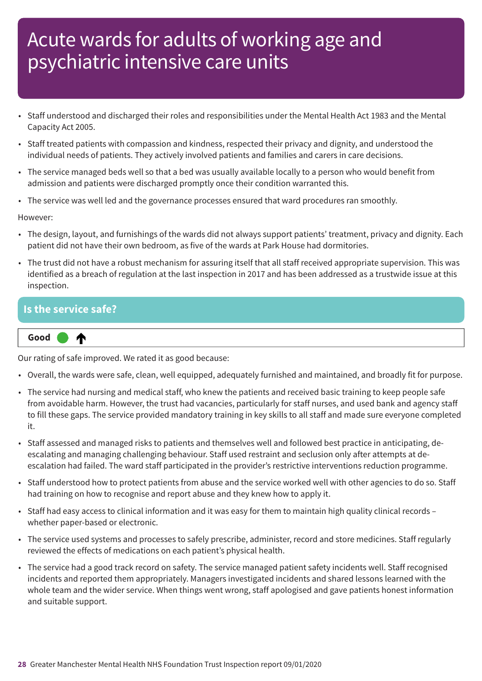- Staff understood and discharged their roles and responsibilities under the Mental Health Act 1983 and the Mental Capacity Act 2005.
- Staff treated patients with compassion and kindness, respected their privacy and dignity, and understood the individual needs of patients. They actively involved patients and families and carers in care decisions.
- The service managed beds well so that a bed was usually available locally to a person who would benefit from admission and patients were discharged promptly once their condition warranted this.
- The service was well led and the governance processes ensured that ward procedures ran smoothly.

However:

- The design, layout, and furnishings of the wards did not always support patients' treatment, privacy and dignity. Each patient did not have their own bedroom, as five of the wards at Park House had dormitories.
- The trust did not have a robust mechanism for assuring itself that all staff received appropriate supervision. This was identified as a breach of regulation at the last inspection in 2017 and has been addressed as a trustwide issue at this inspection.

### **Is the service safe?**



Our rating of safe improved. We rated it as good because:

- Overall, the wards were safe, clean, well equipped, adequately furnished and maintained, and broadly fit for purpose.
- The service had nursing and medical staff, who knew the patients and received basic training to keep people safe from avoidable harm. However, the trust had vacancies, particularly for staff nurses, and used bank and agency staff to fill these gaps. The service provided mandatory training in key skills to all staff and made sure everyone completed it.
- Staff assessed and managed risks to patients and themselves well and followed best practice in anticipating, deescalating and managing challenging behaviour. Staff used restraint and seclusion only after attempts at deescalation had failed. The ward staff participated in the provider's restrictive interventions reduction programme.
- Staff understood how to protect patients from abuse and the service worked well with other agencies to do so. Staff had training on how to recognise and report abuse and they knew how to apply it.
- Staff had easy access to clinical information and it was easy for them to maintain high quality clinical records whether paper-based or electronic.
- The service used systems and processes to safely prescribe, administer, record and store medicines. Staff regularly reviewed the effects of medications on each patient's physical health.
- The service had a good track record on safety. The service managed patient safety incidents well. Staff recognised incidents and reported them appropriately. Managers investigated incidents and shared lessons learned with the whole team and the wider service. When things went wrong, staff apologised and gave patients honest information and suitable support.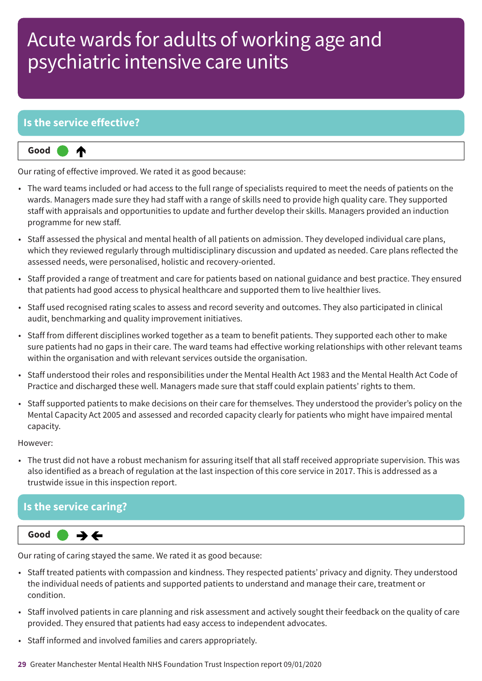### **Is the service effective?**



Our rating of effective improved. We rated it as good because:

- The ward teams included or had access to the full range of specialists required to meet the needs of patients on the wards. Managers made sure they had staff with a range of skills need to provide high quality care. They supported staff with appraisals and opportunities to update and further develop their skills. Managers provided an induction programme for new staff.
- Staff assessed the physical and mental health of all patients on admission. They developed individual care plans, which they reviewed regularly through multidisciplinary discussion and updated as needed. Care plans reflected the assessed needs, were personalised, holistic and recovery-oriented.
- Staff provided a range of treatment and care for patients based on national guidance and best practice. They ensured that patients had good access to physical healthcare and supported them to live healthier lives.
- Staff used recognised rating scales to assess and record severity and outcomes. They also participated in clinical audit, benchmarking and quality improvement initiatives.
- Staff from different disciplines worked together as a team to benefit patients. They supported each other to make sure patients had no gaps in their care. The ward teams had effective working relationships with other relevant teams within the organisation and with relevant services outside the organisation.
- Staff understood their roles and responsibilities under the Mental Health Act 1983 and the Mental Health Act Code of Practice and discharged these well. Managers made sure that staff could explain patients' rights to them.
- Staff supported patients to make decisions on their care for themselves. They understood the provider's policy on the Mental Capacity Act 2005 and assessed and recorded capacity clearly for patients who might have impaired mental capacity.

However:

• The trust did not have a robust mechanism for assuring itself that all staff received appropriate supervision. This was also identified as a breach of regulation at the last inspection of this core service in 2017. This is addressed as a trustwide issue in this inspection report.

### **Is the service caring?**



Our rating of caring stayed the same. We rated it as good because:

- Staff treated patients with compassion and kindness. They respected patients' privacy and dignity. They understood the individual needs of patients and supported patients to understand and manage their care, treatment or condition.
- Staff involved patients in care planning and risk assessment and actively sought their feedback on the quality of care provided. They ensured that patients had easy access to independent advocates.
- Staff informed and involved families and carers appropriately.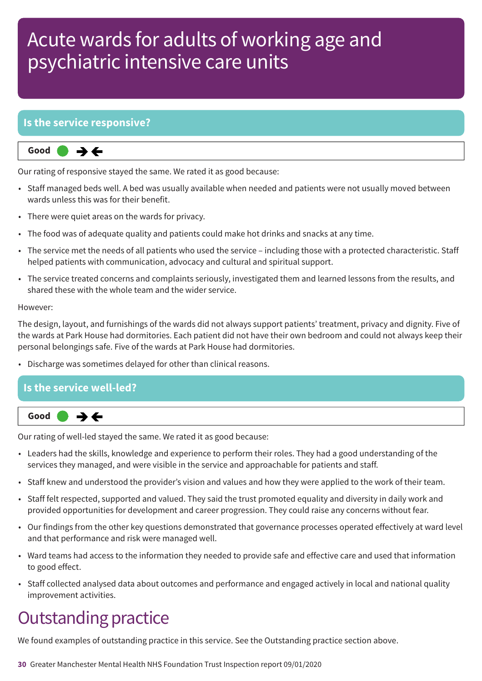### **Is the service responsive?**

**Same–––rating Good –––**  $\rightarrow$   $\leftarrow$ 

Our rating of responsive stayed the same. We rated it as good because:

- Staff managed beds well. A bed was usually available when needed and patients were not usually moved between wards unless this was for their benefit.
- There were quiet areas on the wards for privacy.
- The food was of adequate quality and patients could make hot drinks and snacks at any time.
- The service met the needs of all patients who used the service including those with a protected characteristic. Staff helped patients with communication, advocacy and cultural and spiritual support.
- The service treated concerns and complaints seriously, investigated them and learned lessons from the results, and shared these with the whole team and the wider service.

#### However:

The design, layout, and furnishings of the wards did not always support patients' treatment, privacy and dignity. Five of the wards at Park House had dormitories. Each patient did not have their own bedroom and could not always keep their personal belongings safe. Five of the wards at Park House had dormitories.

• Discharge was sometimes delayed for other than clinical reasons.

# **Is the service well-led?**



Our rating of well-led stayed the same. We rated it as good because:

- Leaders had the skills, knowledge and experience to perform their roles. They had a good understanding of the services they managed, and were visible in the service and approachable for patients and staff.
- Staff knew and understood the provider's vision and values and how they were applied to the work of their team.
- Staff felt respected, supported and valued. They said the trust promoted equality and diversity in daily work and provided opportunities for development and career progression. They could raise any concerns without fear.
- Our findings from the other key questions demonstrated that governance processes operated effectively at ward level and that performance and risk were managed well.
- Ward teams had access to the information they needed to provide safe and effective care and used that information to good effect.
- Staff collected analysed data about outcomes and performance and engaged actively in local and national quality improvement activities.

## **Outstanding practice**

We found examples of outstanding practice in this service. See the Outstanding practice section above.

**30** Greater Manchester Mental Health NHS Foundation Trust Inspection report 09/01/2020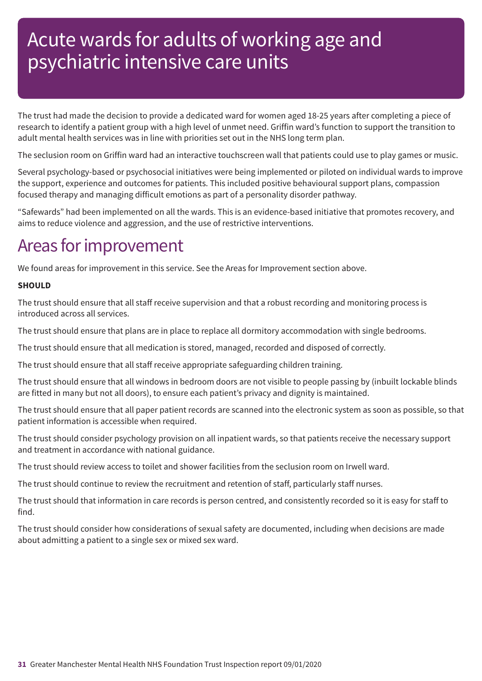The trust had made the decision to provide a dedicated ward for women aged 18-25 years after completing a piece of research to identify a patient group with a high level of unmet need. Griffin ward's function to support the transition to adult mental health services was in line with priorities set out in the NHS long term plan.

The seclusion room on Griffin ward had an interactive touchscreen wall that patients could use to play games or music.

Several psychology-based or psychosocial initiatives were being implemented or piloted on individual wards to improve the support, experience and outcomes for patients. This included positive behavioural support plans, compassion focused therapy and managing difficult emotions as part of a personality disorder pathway.

"Safewards" had been implemented on all the wards. This is an evidence-based initiative that promotes recovery, and aims to reduce violence and aggression, and the use of restrictive interventions.

## Areas for improvement

We found areas for improvement in this service. See the Areas for Improvement section above.

### **SHOULD**

The trust should ensure that all staff receive supervision and that a robust recording and monitoring process is introduced across all services.

The trust should ensure that plans are in place to replace all dormitory accommodation with single bedrooms.

The trust should ensure that all medication is stored, managed, recorded and disposed of correctly.

The trust should ensure that all staff receive appropriate safeguarding children training.

The trust should ensure that all windows in bedroom doors are not visible to people passing by (inbuilt lockable blinds are fitted in many but not all doors), to ensure each patient's privacy and dignity is maintained.

The trust should ensure that all paper patient records are scanned into the electronic system as soon as possible, so that patient information is accessible when required.

The trust should consider psychology provision on all inpatient wards, so that patients receive the necessary support and treatment in accordance with national guidance.

The trust should review access to toilet and shower facilities from the seclusion room on Irwell ward.

The trust should continue to review the recruitment and retention of staff, particularly staff nurses.

The trust should that information in care records is person centred, and consistently recorded so it is easy for staff to find.

The trust should consider how considerations of sexual safety are documented, including when decisions are made about admitting a patient to a single sex or mixed sex ward.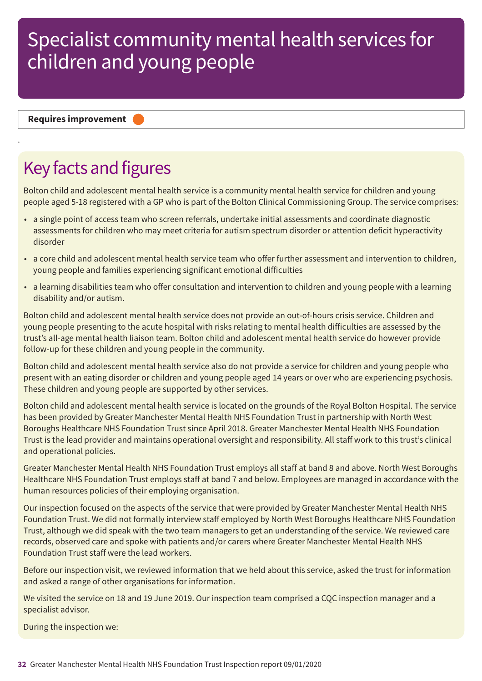**Requires improvement –––**

.

## Key facts and figures

Bolton child and adolescent mental health service is a community mental health service for children and young people aged 5-18 registered with a GP who is part of the Bolton Clinical Commissioning Group. The service comprises:

- a single point of access team who screen referrals, undertake initial assessments and coordinate diagnostic assessments for children who may meet criteria for autism spectrum disorder or attention deficit hyperactivity disorder
- a core child and adolescent mental health service team who offer further assessment and intervention to children, young people and families experiencing significant emotional difficulties
- a learning disabilities team who offer consultation and intervention to children and young people with a learning disability and/or autism.

Bolton child and adolescent mental health service does not provide an out-of-hours crisis service. Children and young people presenting to the acute hospital with risks relating to mental health difficulties are assessed by the trust's all-age mental health liaison team. Bolton child and adolescent mental health service do however provide follow-up for these children and young people in the community.

Bolton child and adolescent mental health service also do not provide a service for children and young people who present with an eating disorder or children and young people aged 14 years or over who are experiencing psychosis. These children and young people are supported by other services.

Bolton child and adolescent mental health service is located on the grounds of the Royal Bolton Hospital. The service has been provided by Greater Manchester Mental Health NHS Foundation Trust in partnership with North West Boroughs Healthcare NHS Foundation Trust since April 2018. Greater Manchester Mental Health NHS Foundation Trust is the lead provider and maintains operational oversight and responsibility. All staff work to this trust's clinical and operational policies.

Greater Manchester Mental Health NHS Foundation Trust employs all staff at band 8 and above. North West Boroughs Healthcare NHS Foundation Trust employs staff at band 7 and below. Employees are managed in accordance with the human resources policies of their employing organisation.

Our inspection focused on the aspects of the service that were provided by Greater Manchester Mental Health NHS Foundation Trust. We did not formally interview staff employed by North West Boroughs Healthcare NHS Foundation Trust, although we did speak with the two team managers to get an understanding of the service. We reviewed care records, observed care and spoke with patients and/or carers where Greater Manchester Mental Health NHS Foundation Trust staff were the lead workers.

Before our inspection visit, we reviewed information that we held about this service, asked the trust for information and asked a range of other organisations for information.

We visited the service on 18 and 19 June 2019. Our inspection team comprised a CQC inspection manager and a specialist advisor.

During the inspection we: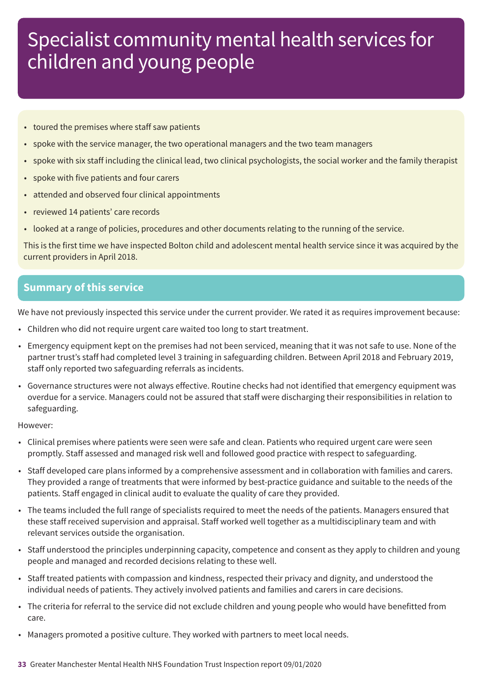- toured the premises where staff saw patients
- spoke with the service manager, the two operational managers and the two team managers
- spoke with six staff including the clinical lead, two clinical psychologists, the social worker and the family therapist
- spoke with five patients and four carers
- attended and observed four clinical appointments
- reviewed 14 patients' care records
- looked at a range of policies, procedures and other documents relating to the running of the service.

This is the first time we have inspected Bolton child and adolescent mental health service since it was acquired by the current providers in April 2018.

### **Summary of this service**

We have not previously inspected this service under the current provider. We rated it as requires improvement because:

- Children who did not require urgent care waited too long to start treatment.
- Emergency equipment kept on the premises had not been serviced, meaning that it was not safe to use. None of the partner trust's staff had completed level 3 training in safeguarding children. Between April 2018 and February 2019, staff only reported two safeguarding referrals as incidents.
- Governance structures were not always effective. Routine checks had not identified that emergency equipment was overdue for a service. Managers could not be assured that staff were discharging their responsibilities in relation to safeguarding.

#### However:

- Clinical premises where patients were seen were safe and clean. Patients who required urgent care were seen promptly. Staff assessed and managed risk well and followed good practice with respect to safeguarding.
- Staff developed care plans informed by a comprehensive assessment and in collaboration with families and carers. They provided a range of treatments that were informed by best-practice guidance and suitable to the needs of the patients. Staff engaged in clinical audit to evaluate the quality of care they provided.
- The teams included the full range of specialists required to meet the needs of the patients. Managers ensured that these staff received supervision and appraisal. Staff worked well together as a multidisciplinary team and with relevant services outside the organisation.
- Staff understood the principles underpinning capacity, competence and consent as they apply to children and young people and managed and recorded decisions relating to these well.
- Staff treated patients with compassion and kindness, respected their privacy and dignity, and understood the individual needs of patients. They actively involved patients and families and carers in care decisions.
- The criteria for referral to the service did not exclude children and young people who would have benefitted from care.
- Managers promoted a positive culture. They worked with partners to meet local needs.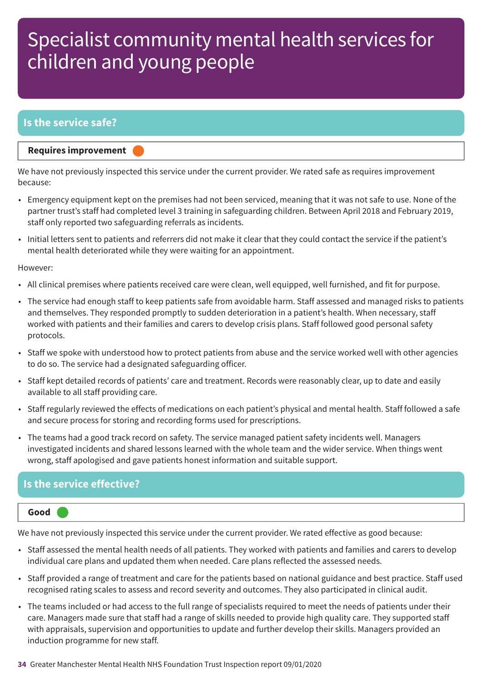### **Is the service safe?**

#### **Requires improvement –––**

We have not previously inspected this service under the current provider. We rated safe as requires improvement because:

- Emergency equipment kept on the premises had not been serviced, meaning that it was not safe to use. None of the partner trust's staff had completed level 3 training in safeguarding children. Between April 2018 and February 2019, staff only reported two safeguarding referrals as incidents.
- Initial letters sent to patients and referrers did not make it clear that they could contact the service if the patient's mental health deteriorated while they were waiting for an appointment.

#### However:

- All clinical premises where patients received care were clean, well equipped, well furnished, and fit for purpose.
- The service had enough staff to keep patients safe from avoidable harm. Staff assessed and managed risks to patients and themselves. They responded promptly to sudden deterioration in a patient's health. When necessary, staff worked with patients and their families and carers to develop crisis plans. Staff followed good personal safety protocols.
- Staff we spoke with understood how to protect patients from abuse and the service worked well with other agencies to do so. The service had a designated safeguarding officer.
- Staff kept detailed records of patients' care and treatment. Records were reasonably clear, up to date and easily available to all staff providing care.
- Staff regularly reviewed the effects of medications on each patient's physical and mental health. Staff followed a safe and secure process for storing and recording forms used for prescriptions.
- The teams had a good track record on safety. The service managed patient safety incidents well. Managers investigated incidents and shared lessons learned with the whole team and the wider service. When things went wrong, staff apologised and gave patients honest information and suitable support.

### **Is the service effective?**

#### **Good –––**

We have not previously inspected this service under the current provider. We rated effective as good because:

- Staff assessed the mental health needs of all patients. They worked with patients and families and carers to develop individual care plans and updated them when needed. Care plans reflected the assessed needs.
- Staff provided a range of treatment and care for the patients based on national guidance and best practice. Staff used recognised rating scales to assess and record severity and outcomes. They also participated in clinical audit.
- The teams included or had access to the full range of specialists required to meet the needs of patients under their care. Managers made sure that staff had a range of skills needed to provide high quality care. They supported staff with appraisals, supervision and opportunities to update and further develop their skills. Managers provided an induction programme for new staff.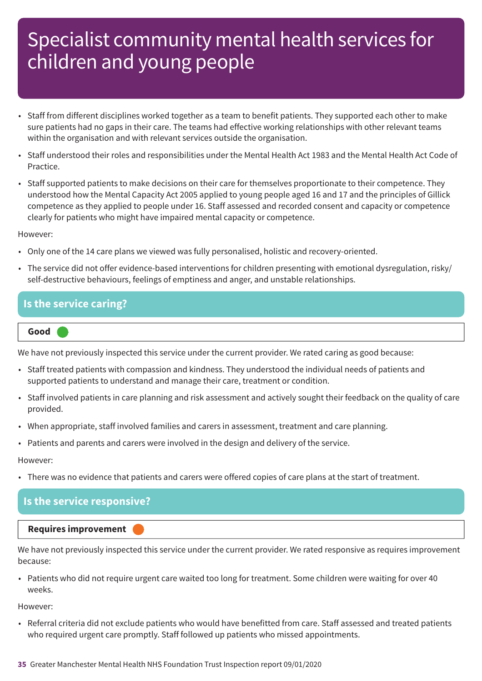- Staff from different disciplines worked together as a team to benefit patients. They supported each other to make sure patients had no gaps in their care. The teams had effective working relationships with other relevant teams within the organisation and with relevant services outside the organisation.
- Staff understood their roles and responsibilities under the Mental Health Act 1983 and the Mental Health Act Code of Practice.
- Staff supported patients to make decisions on their care for themselves proportionate to their competence. They understood how the Mental Capacity Act 2005 applied to young people aged 16 and 17 and the principles of Gillick competence as they applied to people under 16. Staff assessed and recorded consent and capacity or competence clearly for patients who might have impaired mental capacity or competence.

#### However:

- Only one of the 14 care plans we viewed was fully personalised, holistic and recovery-oriented.
- The service did not offer evidence-based interventions for children presenting with emotional dysregulation, risky/ self-destructive behaviours, feelings of emptiness and anger, and unstable relationships.

### **Is the service caring?**

#### **Good –––**

We have not previously inspected this service under the current provider. We rated caring as good because:

- Staff treated patients with compassion and kindness. They understood the individual needs of patients and supported patients to understand and manage their care, treatment or condition.
- Staff involved patients in care planning and risk assessment and actively sought their feedback on the quality of care provided.
- When appropriate, staff involved families and carers in assessment, treatment and care planning.
- Patients and parents and carers were involved in the design and delivery of the service.

#### However:

• There was no evidence that patients and carers were offered copies of care plans at the start of treatment.

#### **Is the service responsive?**

#### **Requires improvement –––**

We have not previously inspected this service under the current provider. We rated responsive as requires improvement because:

• Patients who did not require urgent care waited too long for treatment. Some children were waiting for over 40 weeks.

However:

• Referral criteria did not exclude patients who would have benefitted from care. Staff assessed and treated patients who required urgent care promptly. Staff followed up patients who missed appointments.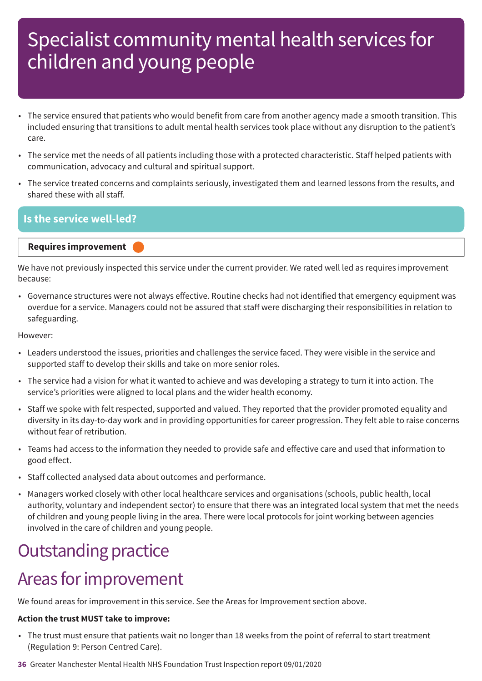- The service ensured that patients who would benefit from care from another agency made a smooth transition. This included ensuring that transitions to adult mental health services took place without any disruption to the patient's care.
- The service met the needs of all patients including those with a protected characteristic. Staff helped patients with communication, advocacy and cultural and spiritual support.
- The service treated concerns and complaints seriously, investigated them and learned lessons from the results, and shared these with all staff.

### **Is the service well-led?**

#### **Requires improvement –––**

We have not previously inspected this service under the current provider. We rated well led as requires improvement because:

• Governance structures were not always effective. Routine checks had not identified that emergency equipment was overdue for a service. Managers could not be assured that staff were discharging their responsibilities in relation to safeguarding.

However:

- Leaders understood the issues, priorities and challenges the service faced. They were visible in the service and supported staff to develop their skills and take on more senior roles.
- The service had a vision for what it wanted to achieve and was developing a strategy to turn it into action. The service's priorities were aligned to local plans and the wider health economy.
- Staff we spoke with felt respected, supported and valued. They reported that the provider promoted equality and diversity in its day-to-day work and in providing opportunities for career progression. They felt able to raise concerns without fear of retribution.
- Teams had access to the information they needed to provide safe and effective care and used that information to good effect.
- Staff collected analysed data about outcomes and performance.
- Managers worked closely with other local healthcare services and organisations (schools, public health, local authority, voluntary and independent sector) to ensure that there was an integrated local system that met the needs of children and young people living in the area. There were local protocols for joint working between agencies involved in the care of children and young people.

## **Outstanding practice**

## Areas for improvement

We found areas for improvement in this service. See the Areas for Improvement section above.

### **Action the trust MUST take to improve:**

- The trust must ensure that patients wait no longer than 18 weeks from the point of referral to start treatment (Regulation 9: Person Centred Care).
- **36** Greater Manchester Mental Health NHS Foundation Trust Inspection report 09/01/2020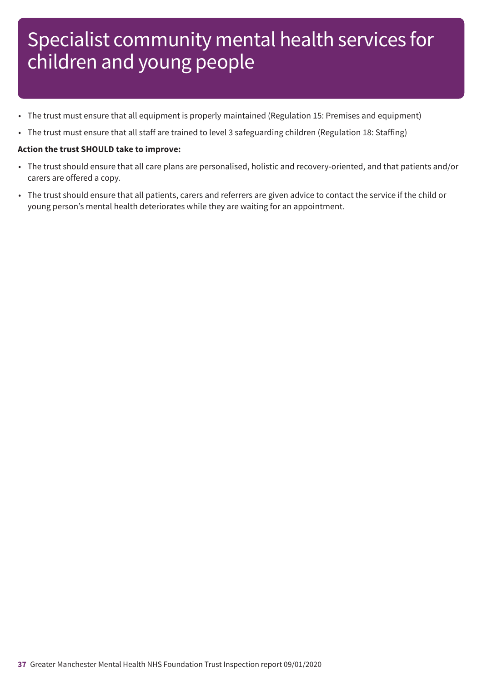- The trust must ensure that all equipment is properly maintained (Regulation 15: Premises and equipment)
- The trust must ensure that all staff are trained to level 3 safeguarding children (Regulation 18: Staffing)

#### **Action the trust SHOULD take to improve:**

- The trust should ensure that all care plans are personalised, holistic and recovery-oriented, and that patients and/or carers are offered a copy.
- The trust should ensure that all patients, carers and referrers are given advice to contact the service if the child or young person's mental health deteriorates while they are waiting for an appointment.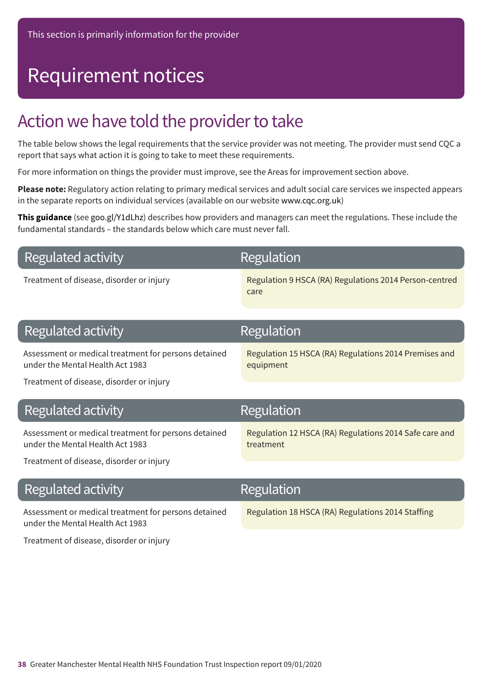# Requirement notices

## Action we have told the provider to take

The table below shows the legal requirements that the service provider was not meeting. The provider must send CQC a report that says what action it is going to take to meet these requirements.

For more information on things the provider must improve, see the Areas for improvement section above.

**Please note:** Regulatory action relating to primary medical services and adult social care services we inspected appears in the separate reports on individual services (available on our website www.cqc.org.uk)

**This guidance** (see goo.gl/Y1dLhz) describes how providers and managers can meet the regulations. These include the fundamental standards – the standards below which care must never fall.

|  |  | Regulated activity |
|--|--|--------------------|
|--|--|--------------------|

### Regulation

Treatment of disease, disorder or injury Regulation 9 HSCA (RA) Regulations 2014 Person-centred care

| Regulated activity                                                                                                                   | <b>Regulation</b>                                                   |
|--------------------------------------------------------------------------------------------------------------------------------------|---------------------------------------------------------------------|
| Assessment or medical treatment for persons detained<br>under the Mental Health Act 1983<br>Treatment of disease, disorder or injury | Regulation 15 HSCA (RA) Regulations 2014 Premises and<br>equipment  |
|                                                                                                                                      |                                                                     |
|                                                                                                                                      |                                                                     |
| <b>Regulated activity</b>                                                                                                            | Regulation                                                          |
| Assessment or medical treatment for persons detained<br>under the Mental Health Act 1983                                             | Regulation 12 HSCA (RA) Regulations 2014 Safe care and<br>treatment |

### **Regulated activity** Assessment or medical treatment for persons detained under the Mental Health Act 1983 Regulation 18 HSCA (RA) Regulations 2014 Staffing Regulation

Treatment of disease, disorder or injury